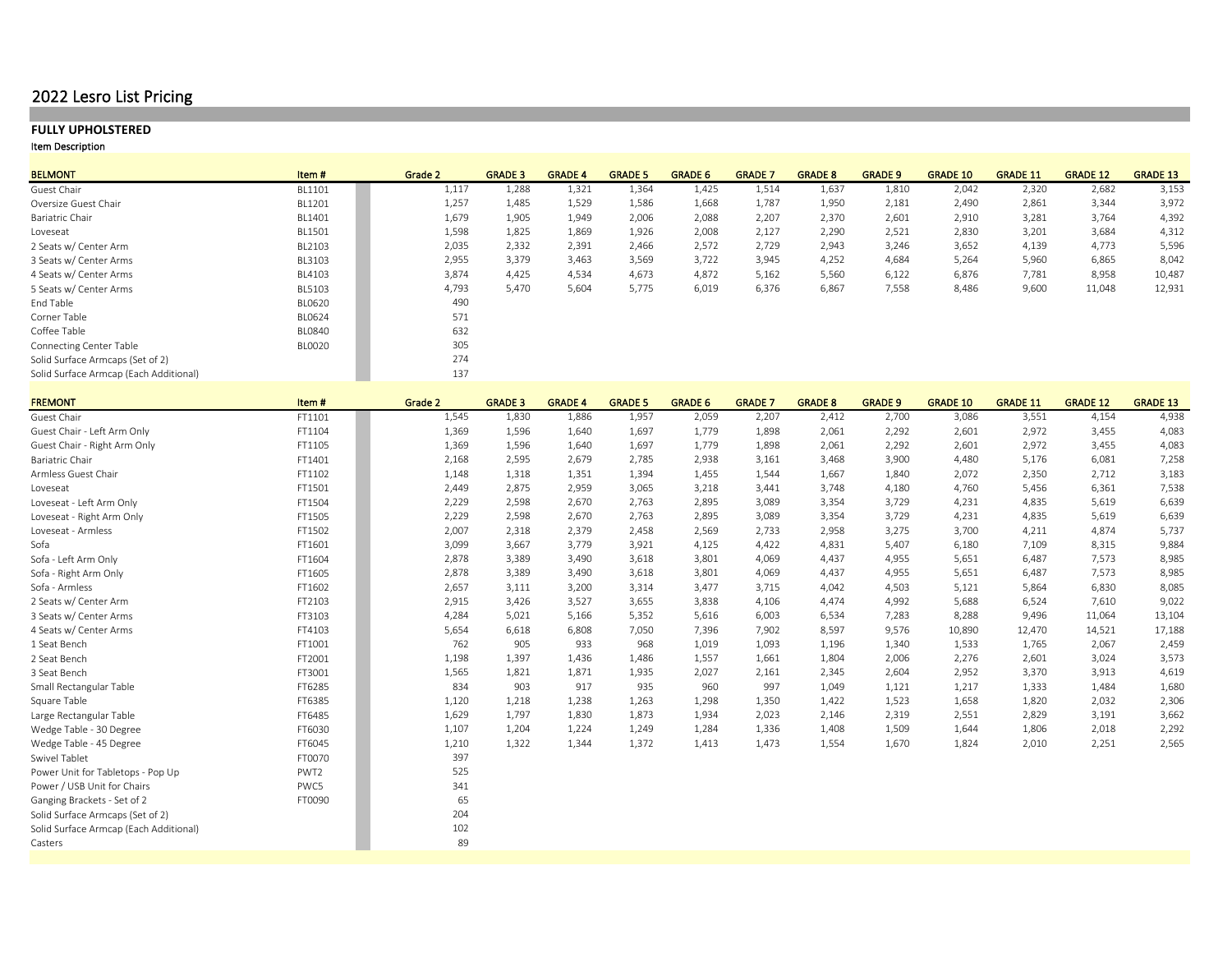## 2022 Lesro List Pricing

## **FULLY UPHOLSTERED**

| <b>BELMONT</b>                         | Item#         | Grade 2 | <b>GRADE 3</b> | <b>GRADE 4</b> | <b>GRADE 5</b> | <b>GRADE 6</b> | <b>GRADE 7</b> | <b>GRADE 8</b> | <b>GRADE 9</b> | <b>GRADE 10</b> | <b>GRADE 11</b> | <b>GRADE 12</b> | <b>GRADE 13</b> |
|----------------------------------------|---------------|---------|----------------|----------------|----------------|----------------|----------------|----------------|----------------|-----------------|-----------------|-----------------|-----------------|
| Guest Chair                            | BL1101        | 1,117   | 1,288          | 1,321          | 1,364          | 1,425          | 1,514          | 1,637          | 1,810          | 2,042           | 2,320           | 2,682           | 3,153           |
| Oversize Guest Chair                   | BL1201        | 1,257   | 1,485          | 1,529          | 1,586          | 1,668          | 1,787          | 1,950          | 2,181          | 2,490           | 2,861           | 3,344           | 3,972           |
| Bariatric Chair                        | BL1401        | 1,679   | 1,905          | 1,949          | 2,006          | 2,088          | 2,207          | 2,370          | 2,601          | 2,910           | 3,281           | 3,764           | 4,392           |
| Loveseat                               | BL1501        | 1,598   | 1,825          | 1,869          | 1,926          | 2,008          | 2,127          | 2,290          | 2,521          | 2,830           | 3,201           | 3,684           | 4,312           |
| 2 Seats w/ Center Arm                  | BL2103        | 2,035   | 2,332          | 2,391          | 2,466          | 2,572          | 2,729          | 2,943          | 3,246          | 3,652           | 4,139           | 4,773           | 5,596           |
| 3 Seats w/ Center Arms                 | BL3103        | 2,955   | 3,379          | 3,463          | 3,569          | 3,722          | 3,945          | 4,252          | 4,684          | 5,264           | 5,960           | 6,865           | 8,042           |
| 4 Seats w/ Center Arms                 | BL4103        | 3,874   | 4,425          | 4,534          | 4,673          | 4,872          | 5,162          | 5,560          | 6,122          | 6,876           | 7,781           | 8,958           | 10,487          |
| 5 Seats w/ Center Arms                 | BL5103        | 4,793   | 5,470          | 5,604          | 5,775          | 6,019          | 6,376          | 6,867          | 7,558          | 8,486           | 9,600           | 11,048          | 12,931          |
| End Table                              | <b>BL0620</b> | 490     |                |                |                |                |                |                |                |                 |                 |                 |                 |
| Corner Table                           | <b>BL0624</b> | 571     |                |                |                |                |                |                |                |                 |                 |                 |                 |
| Coffee Table                           | <b>BL0840</b> | 632     |                |                |                |                |                |                |                |                 |                 |                 |                 |
| <b>Connecting Center Table</b>         | <b>BLOO20</b> | 305     |                |                |                |                |                |                |                |                 |                 |                 |                 |
| Solid Surface Armcaps (Set of 2)       |               | 274     |                |                |                |                |                |                |                |                 |                 |                 |                 |
| Solid Surface Armcap (Each Additional) |               | 137     |                |                |                |                |                |                |                |                 |                 |                 |                 |

| <b>FREMONT</b>                         | Item#            | Grade 2 | <b>GRADE 3</b> | <b>GRADE 4</b> | <b>GRADE 5</b> | <b>GRADE 6</b> | <b>GRADE 7</b> | <b>GRADE 8</b> | <b>GRADE 9</b> | <b>GRADE 10</b> | <b>GRADE 11</b> | <b>GRADE 12</b> | <b>GRADE 13</b> |
|----------------------------------------|------------------|---------|----------------|----------------|----------------|----------------|----------------|----------------|----------------|-----------------|-----------------|-----------------|-----------------|
| Guest Chair                            | FT1101           | 1,545   | 1,830          | 1,886          | 1,957          | 2,059          | 2,207          | 2,412          | 2,700          | 3,086           | 3,551           | 4,154           | 4,938           |
| Guest Chair - Left Arm Only            | FT1104           | 1,369   | 1,596          | 1,640          | 1,697          | 1,779          | 1,898          | 2,061          | 2,292          | 2,601           | 2,972           | 3,455           | 4,083           |
| Guest Chair - Right Arm Only           | FT1105           | 1,369   | 1,596          | 1,640          | 1,697          | 1,779          | 1,898          | 2,061          | 2,292          | 2,601           | 2,972           | 3,455           | 4,083           |
| Bariatric Chair                        | FT1401           | 2,168   | 2,595          | 2,679          | 2,785          | 2,938          | 3,161          | 3,468          | 3,900          | 4,480           | 5,176           | 6,081           | 7,258           |
| Armless Guest Chair                    | FT1102           | 1,148   | 1,318          | 1,351          | 1,394          | 1,455          | 1,544          | 1,667          | 1,840          | 2,072           | 2,350           | 2,712           | 3,183           |
| Loveseat                               | FT1501           | 2,449   | 2,875          | 2,959          | 3,065          | 3,218          | 3,441          | 3,748          | 4,180          | 4,760           | 5,456           | 6,361           | 7,538           |
| Loveseat - Left Arm Only               | FT1504           | 2,229   | 2,598          | 2,670          | 2,763          | 2,895          | 3,089          | 3,354          | 3,729          | 4,231           | 4,835           | 5,619           | 6,639           |
| Loveseat - Right Arm Only              | FT1505           | 2,229   | 2,598          | 2,670          | 2,763          | 2,895          | 3,089          | 3,354          | 3,729          | 4,231           | 4,835           | 5,619           | 6,639           |
| Loveseat - Armless                     | FT1502           | 2,007   | 2,318          | 2,379          | 2,458          | 2,569          | 2,733          | 2,958          | 3,275          | 3,700           | 4,211           | 4,874           | 5,737           |
| Sofa                                   | FT1601           | 3,099   | 3,667          | 3,779          | 3,921          | 4,125          | 4,422          | 4,831          | 5,407          | 6,180           | 7,109           | 8,315           | 9,884           |
| Sofa - Left Arm Only                   | FT1604           | 2,878   | 3,389          | 3,490          | 3,618          | 3,801          | 4,069          | 4,437          | 4,955          | 5,651           | 6,487           | 7,573           | 8,985           |
| Sofa - Right Arm Only                  | FT1605           | 2,878   | 3,389          | 3,490          | 3,618          | 3,801          | 4,069          | 4,437          | 4,955          | 5,651           | 6,487           | 7,573           | 8,985           |
| Sofa - Armless                         | FT1602           | 2,657   | 3,111          | 3,200          | 3,314          | 3,477          | 3,715          | 4,042          | 4,503          | 5,121           | 5,864           | 6,830           | 8,085           |
| 2 Seats w/ Center Arm                  | FT2103           | 2,915   | 3,426          | 3,527          | 3,655          | 3,838          | 4,106          | 4,474          | 4,992          | 5,688           | 6,524           | 7,610           | 9,022           |
| 3 Seats w/ Center Arms                 | FT3103           | 4,284   | 5,021          | 5,166          | 5,352          | 5,616          | 6,003          | 6,534          | 7,283          | 8,288           | 9,496           | 11,064          | 13,104          |
| 4 Seats w/ Center Arms                 | FT4103           | 5,654   | 6,618          | 6,808          | 7,050          | 7,396          | 7,902          | 8,597          | 9,576          | 10,890          | 12,470          | 14,521          | 17,188          |
| 1 Seat Bench                           | FT1001           | 762     | 905            | 933            | 968            | 1,019          | 1,093          | 1,196          | 1,340          | 1,533           | 1,765           | 2,067           | 2,459           |
| 2 Seat Bench                           | FT2001           | 1,198   | 1,397          | 1,436          | 1,486          | 1,557          | 1,661          | 1,804          | 2,006          | 2,276           | 2,601           | 3,024           | 3,573           |
| 3 Seat Bench                           | FT3001           | 1,565   | 1,821          | 1,871          | 1,935          | 2,027          | 2,161          | 2,345          | 2,604          | 2,952           | 3,370           | 3,913           | 4,619           |
| Small Rectangular Table                | FT6285           | 834     | 903            | 917            | 935            | 960            | 997            | 1,049          | 1,121          | 1,217           | 1,333           | 1,484           | 1,680           |
| Square Table                           | FT6385           | 1,120   | 1,218          | 1,238          | 1,263          | 1,298          | 1,350          | 1,422          | 1,523          | 1,658           | 1,820           | 2,032           | 2,306           |
| Large Rectangular Table                | FT6485           | 1,629   | 1,797          | 1,830          | 1,873          | 1,934          | 2,023          | 2,146          | 2,319          | 2,551           | 2,829           | 3,191           | 3,662           |
| Wedge Table - 30 Degree                | FT6030           | 1,107   | 1,204          | 1,224          | 1,249          | 1,284          | 1,336          | 1,408          | 1,509          | 1,644           | 1,806           | 2,018           | 2,292           |
| Wedge Table - 45 Degree                | FT6045           | 1,210   | 1,322          | 1,344          | 1,372          | 1,413          | 1,473          | 1,554          | 1,670          | 1,824           | 2,010           | 2,251           | 2,565           |
| Swivel Tablet                          | FT0070           | 397     |                |                |                |                |                |                |                |                 |                 |                 |                 |
| Power Unit for Tabletops - Pop Up      | PWT <sub>2</sub> | 525     |                |                |                |                |                |                |                |                 |                 |                 |                 |
| Power / USB Unit for Chairs            | PWC5             | 341     |                |                |                |                |                |                |                |                 |                 |                 |                 |
| Ganging Brackets - Set of 2            | FT0090           | 65      |                |                |                |                |                |                |                |                 |                 |                 |                 |
| Solid Surface Armcaps (Set of 2)       |                  | 204     |                |                |                |                |                |                |                |                 |                 |                 |                 |
| Solid Surface Armcap (Each Additional) |                  | 102     |                |                |                |                |                |                |                |                 |                 |                 |                 |
| Casters                                |                  | 89      |                |                |                |                |                |                |                |                 |                 |                 |                 |
|                                        |                  |         |                |                |                |                |                |                |                |                 |                 |                 |                 |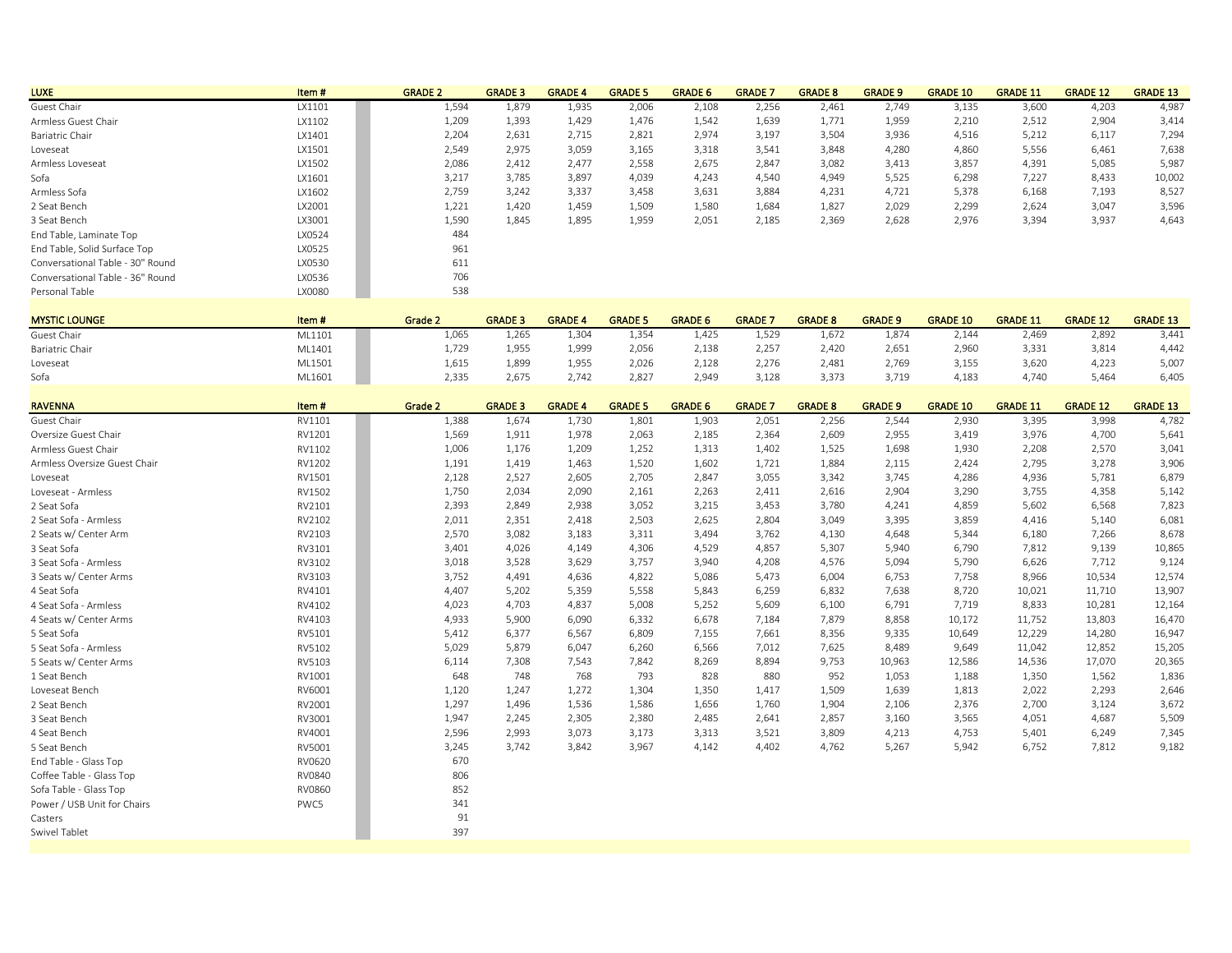| <b>LUXE</b>                      | Item#  | <b>GRADE 2</b> | <b>GRADE 3</b> | <b>GRADE 4</b> | <b>GRADE 5</b> | <b>GRADE 6</b> | <b>GRADE 7</b> | <b>GRADE 8</b> | <b>GRADE 9</b> | <b>GRADE 10</b> | <b>GRADE 11</b> | <b>GRADE 12</b> | <b>GRADE 13</b> |
|----------------------------------|--------|----------------|----------------|----------------|----------------|----------------|----------------|----------------|----------------|-----------------|-----------------|-----------------|-----------------|
| Guest Chair                      | LX1101 | 1,594          | 1,879          | 1,935          | 2,006          | 2,108          | 2,256          | 2,461          | 2,749          | 3,135           | 3,600           | 4,203           | 4,987           |
| Armless Guest Chair              | LX1102 | 1,209          | 1,393          | 1,429          | 1.476          | 1,542          | 1,639          | 1,771          | 1,959          | 2,210           | 2,512           | 2,904           | 3,414           |
| Bariatric Chair                  | LX1401 | 2,204          | 2.631          | 2,715          | 2,821          | 2,974          | 3,197          | 3,504          | 3,936          | 4,516           | 5,212           | 6,117           | 7,294           |
| Loveseat                         | LX1501 | 2,549          | 2,975          | 3,059          | 3,165          | 3,318          | 3,541          | 3,848          | 4,280          | 4,860           | 5,556           | 6,461           | 7,638           |
| Armless Loveseat                 | LX1502 | 2,086          | 2,412          | 2.477          | 2,558          | 2,675          | 2,847          | 3,082          | 3,413          | 3,857           | 4,391           | 5,085           | 5,987           |
| Sofa                             | LX1601 | 3,217          | 3,785          | 3,897          | 4,039          | 4,243          | 4,540          | 4,949          | 5,525          | 6,298           | 7,227           | 8,433           | 10,002          |
| Armless Sofa                     | LX1602 | 2,759          | 3,242          | 3.337          | 3,458          | 3,631          | 3,884          | 4,231          | 4,721          | 5,378           | 6,168           | 7,193           | 8,527           |
| 2 Seat Bench                     | LX2001 | 1,221          | 1.420          | 1.459          | 1.509          | 1,580          | 1,684          | 1,827          | 2,029          | 2,299           | 2.624           | 3,047           | 3,596           |
| 3 Seat Bench                     | LX3001 | 1,590          | 1.845          | 1,895          | 1,959          | 2,051          | 2,185          | 2,369          | 2,628          | 2,976           | 3,394           | 3,937           | 4,643           |
| End Table, Laminate Top          | LX0524 | 484            |                |                |                |                |                |                |                |                 |                 |                 |                 |
| End Table, Solid Surface Top     | LX0525 | 961            |                |                |                |                |                |                |                |                 |                 |                 |                 |
| Conversational Table - 30" Round | LX0530 | 611            |                |                |                |                |                |                |                |                 |                 |                 |                 |
| Conversational Table - 36" Round | LX0536 | 706            |                |                |                |                |                |                |                |                 |                 |                 |                 |
| Personal Table                   | LX0080 | 538            |                |                |                |                |                |                |                |                 |                 |                 |                 |
|                                  |        |                |                |                |                |                |                |                |                |                 |                 |                 |                 |
| <b>MYSTIC LOUNGE</b>             | Item#  | Grade 2        | <b>GRADE 3</b> | <b>GRADE 4</b> | <b>GRADE 5</b> | <b>GRADE 6</b> | <b>GRADE 7</b> | <b>GRADE 8</b> | <b>GRADE 9</b> | <b>GRADE 10</b> | <b>GRADE 11</b> | <b>GRADE 12</b> | <b>GRADE 13</b> |
| .                                |        |                |                |                |                |                |                |                |                |                 |                 |                 |                 |

| Guest Chair     | ML1101 | 1.065 | 1.265 | 1,304 | 1,354 | 1,425 | 1,529 | 1,672 | 1,874 | 2.144 | 2,469 | 2,892 | 3.441 |
|-----------------|--------|-------|-------|-------|-------|-------|-------|-------|-------|-------|-------|-------|-------|
| Bariatric Chair | ML1401 | 1,729 | 1,955 | 1,999 | 2,056 | 2,138 | 2,257 | 2,420 | 2,651 | 2,960 | 3,331 | 3,814 | 4,442 |
| Loveseat        | ML1501 | 1,615 | 1,899 | 1,955 | 2,026 | 2,128 | 2,276 | 2,481 | 2,769 | 3,155 | 3,620 | 4,223 | 5,007 |
| Sofa            | ML1601 | 2,335 | 2.675 | 2.742 | 2,827 | 2,949 | 3,128 | 3,373 | 3,719 | 4,183 | 4,740 | 5,464 | 6,405 |

| <b>RAVENNA</b>               | Item#         | Grade 2 | <b>GRADE 3</b> | <b>GRADE 4</b> | <b>GRADE 5</b> | <b>GRADE 6</b> | <b>GRADE 7</b> | <b>GRADE 8</b> | <b>GRADE 9</b> | <b>GRADE 10</b> | <b>GRADE 11</b> | <b>GRADE 12</b> | <b>GRADE 13</b> |
|------------------------------|---------------|---------|----------------|----------------|----------------|----------------|----------------|----------------|----------------|-----------------|-----------------|-----------------|-----------------|
| Guest Chair                  | RV1101        | 1,388   | 1,674          | 1,730          | 1,801          | 1,903          | 2,051          | 2,256          | 2,544          | 2,930           | 3,395           | 3,998           | 4,782           |
| Oversize Guest Chair         | RV1201        | 1,569   | 1,911          | 1,978          | 2,063          | 2,185          | 2,364          | 2,609          | 2,955          | 3,419           | 3,976           | 4,700           | 5,641           |
| Armless Guest Chair          | RV1102        | 1,006   | 1,176          | 1,209          | 1,252          | 1,313          | 1,402          | 1,525          | 1,698          | 1,930           | 2,208           | 2,570           | 3,041           |
| Armless Oversize Guest Chair | RV1202        | 1,191   | 1,419          | 1,463          | 1,520          | 1,602          | 1,721          | 1,884          | 2,115          | 2,424           | 2,795           | 3,278           | 3,906           |
| Loveseat                     | RV1501        | 2,128   | 2,527          | 2,605          | 2,705          | 2,847          | 3,055          | 3,342          | 3,745          | 4,286           | 4,936           | 5,781           | 6,879           |
| Loveseat - Armless           | RV1502        | 1,750   | 2,034          | 2,090          | 2,161          | 2,263          | 2,411          | 2,616          | 2,904          | 3,290           | 3,755           | 4,358           | 5,142           |
| 2 Seat Sofa                  | RV2101        | 2,393   | 2,849          | 2,938          | 3,052          | 3,215          | 3,453          | 3,780          | 4,241          | 4,859           | 5,602           | 6,568           | 7,823           |
| 2 Seat Sofa - Armless        | RV2102        | 2,011   | 2,351          | 2,418          | 2,503          | 2,625          | 2,804          | 3,049          | 3,395          | 3,859           | 4,416           | 5,140           | 6,081           |
| 2 Seats w/ Center Arm        | RV2103        | 2,570   | 3,082          | 3,183          | 3,311          | 3,494          | 3,762          | 4,130          | 4,648          | 5,344           | 6,180           | 7,266           | 8,678           |
| 3 Seat Sofa                  | RV3101        | 3,401   | 4,026          | 4,149          | 4,306          | 4,529          | 4,857          | 5,307          | 5,940          | 6,790           | 7,812           | 9,139           | 10,865          |
| 3 Seat Sofa - Armless        | RV3102        | 3,018   | 3,528          | 3,629          | 3,757          | 3,940          | 4,208          | 4,576          | 5,094          | 5,790           | 6,626           | 7,712           | 9,124           |
| 3 Seats w/ Center Arms       | RV3103        | 3,752   | 4,491          | 4,636          | 4,822          | 5,086          | 5,473          | 6,004          | 6,753          | 7,758           | 8,966           | 10,534          | 12,574          |
| 4 Seat Sofa                  | RV4101        | 4,407   | 5,202          | 5,359          | 5,558          | 5,843          | 6,259          | 6,832          | 7,638          | 8,720           | 10,021          | 11,710          | 13,907          |
| 4 Seat Sofa - Armless        | RV4102        | 4,023   | 4,703          | 4,837          | 5,008          | 5,252          | 5,609          | 6,100          | 6,791          | 7,719           | 8,833           | 10,281          | 12,164          |
| 4 Seats w/ Center Arms       | RV4103        | 4,933   | 5,900          | 6,090          | 6,332          | 6,678          | 7,184          | 7,879          | 8,858          | 10,172          | 11,752          | 13,803          | 16,470          |
| 5 Seat Sofa                  | RV5101        | 5,412   | 6,377          | 6,567          | 6,809          | 7,155          | 7,661          | 8,356          | 9,335          | 10,649          | 12,229          | 14,280          | 16,947          |
| 5 Seat Sofa - Armless        | RV5102        | 5,029   | 5,879          | 6,047          | 6,260          | 6,566          | 7,012          | 7,625          | 8,489          | 9,649           | 11,042          | 12,852          | 15,205          |
| 5 Seats w/ Center Arms       | RV5103        | 6,114   | 7,308          | 7,543          | 7,842          | 8,269          | 8,894          | 9,753          | 10,963         | 12,586          | 14,536          | 17,070          | 20,365          |
| 1 Seat Bench                 | RV1001        | 648     | 748            | 768            | 793            | 828            | 880            | 952            | 1,053          | 1,188           | 1,350           | 1,562           | 1,836           |
| Loveseat Bench               | RV6001        | 1,120   | 1,247          | 1,272          | 1,304          | 1,350          | 1,417          | 1,509          | 1,639          | 1,813           | 2,022           | 2,293           | 2,646           |
| 2 Seat Bench                 | RV2001        | 1,297   | 1,496          | 1,536          | 1,586          | 1,656          | 1,760          | 1,904          | 2,106          | 2,376           | 2,700           | 3,124           | 3,672           |
| 3 Seat Bench                 | RV3001        | 1,947   | 2,245          | 2,305          | 2,380          | 2,485          | 2,641          | 2,857          | 3,160          | 3,565           | 4,051           | 4,687           | 5,509           |
| 4 Seat Bench                 | RV4001        | 2,596   | 2,993          | 3,073          | 3,173          | 3,313          | 3,521          | 3,809          | 4,213          | 4,753           | 5,401           | 6,249           | 7,345           |
| 5 Seat Bench                 | RV5001        | 3,245   | 3,742          | 3,842          | 3,967          | 4,142          | 4,402          | 4,762          | 5,267          | 5,942           | 6,752           | 7,812           | 9,182           |
| End Table - Glass Top        | RV0620        | 670     |                |                |                |                |                |                |                |                 |                 |                 |                 |
| Coffee Table - Glass Top     | RV0840        | 806     |                |                |                |                |                |                |                |                 |                 |                 |                 |
| Sofa Table - Glass Top       | <b>RV0860</b> | 852     |                |                |                |                |                |                |                |                 |                 |                 |                 |
| Power / USB Unit for Chairs  | PWC5          | 341     |                |                |                |                |                |                |                |                 |                 |                 |                 |
| Casters                      |               | 91      |                |                |                |                |                |                |                |                 |                 |                 |                 |
| Swivel Tablet                |               | 397     |                |                |                |                |                |                |                |                 |                 |                 |                 |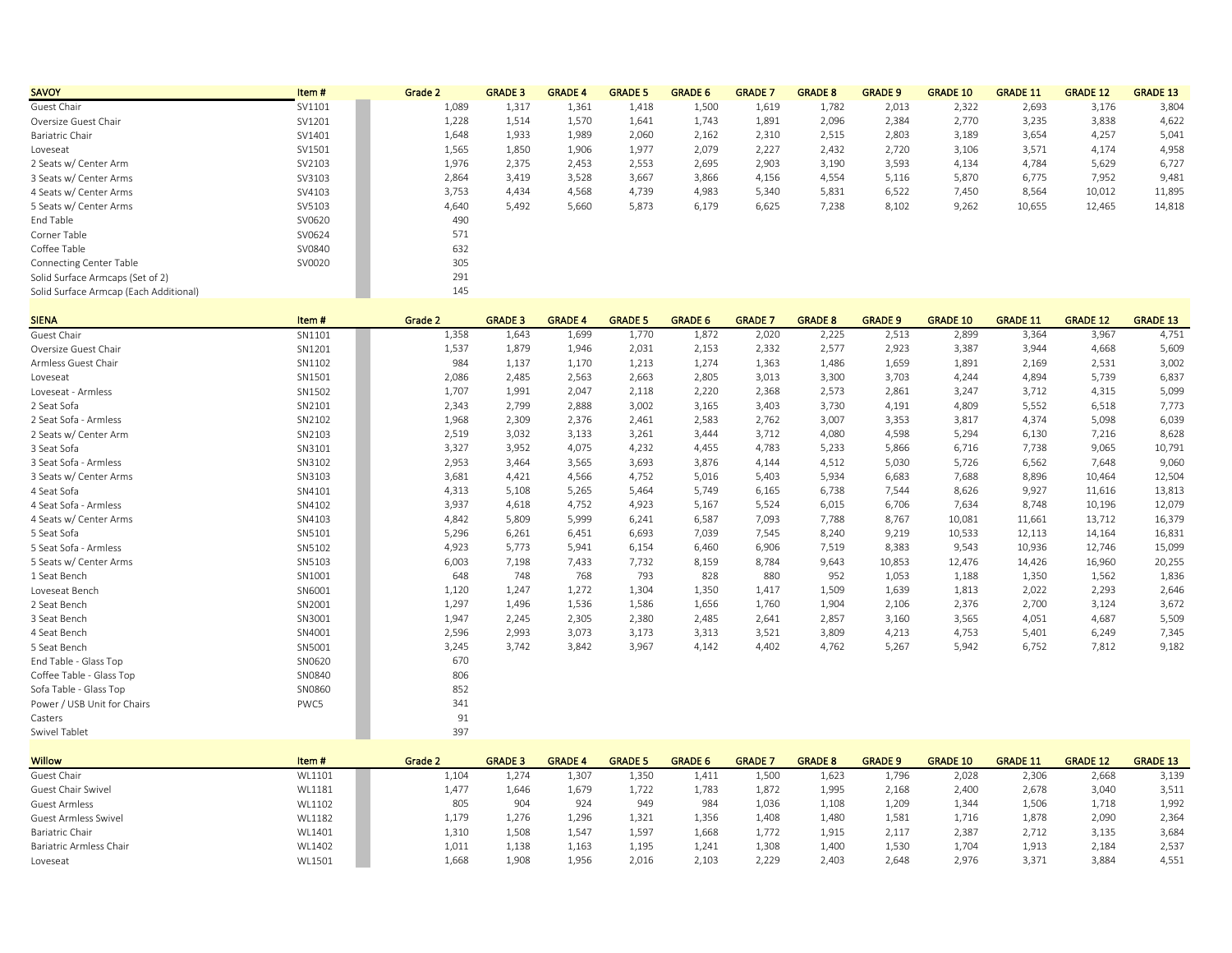| <b>SAVOY</b>                           | Item#     | Grade 2 | <b>GRADE 3</b> | <b>GRADE 4</b> | <b>GRADE 5</b> | <b>GRADE 6</b> | <b>GRADE 7</b> | <b>GRADE 8</b> | <b>GRADE 9</b> | <b>GRADE 10</b> | <b>GRADE 11</b> | <b>GRADE 12</b> | <b>GRADE 13</b> |
|----------------------------------------|-----------|---------|----------------|----------------|----------------|----------------|----------------|----------------|----------------|-----------------|-----------------|-----------------|-----------------|
| Guest Chair                            | SV1101    | 1,089   | 1,317          | 1,361          | 1,418          | 1,500          | 1,619          | 1,782          | 2,013          | 2,322           | 2,693           | 3,176           | 3,804           |
| Oversize Guest Chair                   | SV1201    | 1,228   | 1,514          | 1,570          | 1,641          | 1,743          | 1,891          | 2,096          | 2,384          | 2,770           | 3,235           | 3,838           | 4,622           |
| Bariatric Chair                        | SV1401    | 1,648   | 1,933          | 1,989          | 2,060          | 2,162          | 2,310          | 2,515          | 2,803          | 3,189           | 3,654           | 4,257           | 5,041           |
| Loveseat                               | SV1501    | 1,565   | 1,850          | 1,906          | 1,977          | 2,079          | 2,227          | 2,432          | 2,720          | 3,106           | 3,571           | 4,174           | 4,958           |
| 2 Seats w/ Center Arm                  | SV2103    | 1,976   | 2,375          | 2,453          | 2,553          | 2,695          | 2,903          | 3,190          | 3,593          | 4,134           | 4,784           | 5,629           | 6,727           |
| 3 Seats w/ Center Arms                 | SV3103    | 2,864   | 3,419          | 3,528          | 3,667          | 3,866          | 4,156          | 4,554          | 5,116          | 5,870           | 6,775           | 7,952           | 9,481           |
| 4 Seats w/ Center Arms                 | SV4103    | 3,753   | 4,434          | 4,568          | 4,739          | 4,983          | 5,340          | 5,831          | 6,522          | 7,450           | 8,564           | 10,012          | 11,895          |
| 5 Seats w/ Center Arms                 | SV5103    | 4,640   | 5,492          | 5,660          | 5,873          | 6,179          | 6,625          | 7,238          | 8,102          | 9,262           | 10,655          | 12,465          | 14,818          |
| End Table                              | SV0620    | 490     |                |                |                |                |                |                |                |                 |                 |                 |                 |
| Corner Table                           | SV0624    | 571     |                |                |                |                |                |                |                |                 |                 |                 |                 |
| Coffee Table                           | SV0840    | 632     |                |                |                |                |                |                |                |                 |                 |                 |                 |
| <b>Connecting Center Table</b>         | SV0020    | 305     |                |                |                |                |                |                |                |                 |                 |                 |                 |
| Solid Surface Armcaps (Set of 2)       |           | 291     |                |                |                |                |                |                |                |                 |                 |                 |                 |
| Solid Surface Armcap (Each Additional) |           | 145     |                |                |                |                |                |                |                |                 |                 |                 |                 |
|                                        |           |         |                |                |                |                |                |                |                |                 |                 |                 |                 |
| <b>CIEMA</b>                           | $Hcm$ $#$ | Crade 2 | CRADE 2        | CDADE A        | CDADE E        | CDADE C        | CRADE 7        | CRADE O        | CRADE 0        | CRADE 10        | CRADE 11        | CRADE 12        | CDADE 12        |

| <b>SIENA</b>                | item # | Grade Z | <b>GRAVE 5</b> | GRADE 4 | <b>GIVADE 3</b> | <b>UMPLE</b> | <b>GRAUE</b> | <b>GRADE 6</b> | <b>GRADE 3</b> | <b>GRADE TO</b> | <b>ORADE TT</b> | <b>GRADE 12</b> | <b>UMPLE 13</b> |
|-----------------------------|--------|---------|----------------|---------|-----------------|--------------|--------------|----------------|----------------|-----------------|-----------------|-----------------|-----------------|
| Guest Chair                 | SN1101 | 1,358   | 1,643          | 1,699   | 1,770           | 1,872        | 2,020        | 2,225          | 2,513          | 2,899           | 3,364           | 3,967           | 4,751           |
| Oversize Guest Chair        | SN1201 | 1,537   | 1,879          | 1,946   | 2,031           | 2,153        | 2,332        | 2,577          | 2,923          | 3,387           | 3,944           | 4,668           | 5,609           |
| Armless Guest Chair         | SN1102 | 984     | 1,137          | 1,170   | 1,213           | 1,274        | 1,363        | 1,486          | 1,659          | 1,891           | 2,169           | 2,531           | 3,002           |
| Loveseat                    | SN1501 | 2,086   | 2,485          | 2,563   | 2,663           | 2,805        | 3,013        | 3,300          | 3,703          | 4,244           | 4,894           | 5,739           | 6,837           |
| Loveseat - Armless          | SN1502 | 1,707   | 1,991          | 2,047   | 2,118           | 2,220        | 2,368        | 2,573          | 2,861          | 3,247           | 3,712           | 4,315           | 5,099           |
| 2 Seat Sofa                 | SN2101 | 2,343   | 2,799          | 2,888   | 3,002           | 3,165        | 3,403        | 3,730          | 4,191          | 4,809           | 5,552           | 6,518           | 7,773           |
| 2 Seat Sofa - Armless       | SN2102 | 1,968   | 2,309          | 2,376   | 2,461           | 2,583        | 2,762        | 3,007          | 3,353          | 3,817           | 4,374           | 5,098           | 6,039           |
| 2 Seats w/ Center Arm       | SN2103 | 2,519   | 3,032          | 3,133   | 3,261           | 3.444        | 3,712        | 4,080          | 4,598          | 5,294           | 6,130           | 7,216           | 8,628           |
| 3 Seat Sofa                 | SN3101 | 3,327   | 3,952          | 4,075   | 4,232           | 4,455        | 4,783        | 5,233          | 5,866          | 6,716           | 7,738           | 9,065           | 10,791          |
| 3 Seat Sofa - Armless       | SN3102 | 2,953   | 3,464          | 3,565   | 3,693           | 3,876        | 4,144        | 4,512          | 5,030          | 5,726           | 6,562           | 7,648           | 9,060           |
| 3 Seats w/ Center Arms      | SN3103 | 3,681   | 4,421          | 4,566   | 4,752           | 5,016        | 5,403        | 5,934          | 6,683          | 7,688           | 8,896           | 10,464          | 12,504          |
| 4 Seat Sofa                 | SN4101 | 4,313   | 5,108          | 5,265   | 5,464           | 5,749        | 6,165        | 6,738          | 7,544          | 8,626           | 9,927           | 11,616          | 13,813          |
| 4 Seat Sofa - Armless       | SN4102 | 3,937   | 4,618          | 4,752   | 4,923           | 5,167        | 5,524        | 6,015          | 6,706          | 7,634           | 8,748           | 10,196          | 12,079          |
| 4 Seats w/ Center Arms      | SN4103 | 4,842   | 5,809          | 5,999   | 6,241           | 6,587        | 7,093        | 7,788          | 8,767          | 10,081          | 11,661          | 13,712          | 16,379          |
| 5 Seat Sofa                 | SN5101 | 5,296   | 6,261          | 6,451   | 6,693           | 7,039        | 7,545        | 8,240          | 9,219          | 10,533          | 12,113          | 14,164          | 16,831          |
| 5 Seat Sofa - Armless       | SN5102 | 4,923   | 5,773          | 5,941   | 6,154           | 6,460        | 6,906        | 7,519          | 8,383          | 9,543           | 10,936          | 12,746          | 15,099          |
| 5 Seats w/ Center Arms      | SN5103 | 6,003   | 7,198          | 7,433   | 7,732           | 8,159        | 8,784        | 9,643          | 10,853         | 12,476          | 14,426          | 16,960          | 20,255          |
| 1 Seat Bench                | SN1001 | 648     | 748            | 768     | 793             | 828          | 880          | 952            | 1,053          | 1,188           | 1,350           | 1,562           | 1,836           |
| Loveseat Bench              | SN6001 | 1,120   | 1,247          | 1,272   | 1,304           | 1,350        | 1,417        | 1,509          | 1,639          | 1,813           | 2,022           | 2,293           | 2,646           |
| 2 Seat Bench                | SN2001 | 1,297   | 1,496          | 1,536   | 1,586           | 1,656        | 1,760        | 1,904          | 2,106          | 2,376           | 2,700           | 3,124           | 3,672           |
| 3 Seat Bench                | SN3001 | 1,947   | 2,245          | 2,305   | 2,380           | 2,485        | 2,641        | 2,857          | 3,160          | 3,565           | 4,051           | 4,687           | 5,509           |
| 4 Seat Bench                | SN4001 | 2,596   | 2,993          | 3,073   | 3,173           | 3,313        | 3,521        | 3,809          | 4,213          | 4,753           | 5,401           | 6,249           | 7,345           |
| 5 Seat Bench                | SN5001 | 3,245   | 3,742          | 3,842   | 3,967           | 4,142        | 4,402        | 4,762          | 5,267          | 5,942           | 6,752           | 7,812           | 9,182           |
| End Table - Glass Top       | SN0620 | 670     |                |         |                 |              |              |                |                |                 |                 |                 |                 |
| Coffee Table - Glass Top    | SN0840 | 806     |                |         |                 |              |              |                |                |                 |                 |                 |                 |
| Sofa Table - Glass Top      | SN0860 | 852     |                |         |                 |              |              |                |                |                 |                 |                 |                 |
| Power / USB Unit for Chairs | PWC5   | 341     |                |         |                 |              |              |                |                |                 |                 |                 |                 |
| Casters                     |        | 91      |                |         |                 |              |              |                |                |                 |                 |                 |                 |
| Swivel Tablet               |        | 397     |                |         |                 |              |              |                |                |                 |                 |                 |                 |

| <b>Willow</b>           | Item#  | Grade 2 | <b>GRADE 3</b> | <b>GRADE 4</b> | <b>GRADE 5</b> | <b>GRADE 6</b> | <b>GRADE</b> | <b>GRADE 8</b> | <b>GRADE 9</b> | <b>GRADE 10</b> | <b>GRADE 11</b> | <b>GRADE 12</b> | <b>GRADE 13</b> |
|-------------------------|--------|---------|----------------|----------------|----------------|----------------|--------------|----------------|----------------|-----------------|-----------------|-----------------|-----------------|
| Guest Chair             | WL1101 | 1,104   | 1,274          | 1,307          | 1,350          | 1,411          | 1,500        | 1,623          | 1,796          | 2,028           | 2,306           | 2,668           | 3,139           |
| Guest Chair Swivel      | WL1181 | 1,477   | 1.646          | 1,679          | 1,722          | 1,783          | 1,872        | 1,995          | 2,168          | 2,400           | 2.678           | 3,040           | 3,511           |
| Guest Armless           | WL1102 | 805     | 904            | 924            | 949            | 984            | 1,036        | 1,108          | 1,209          | 1,344           | 1,506           | 1,718           | 1,992           |
| Guest Armless Swivel    | WL1182 | 1,179   | 1.276          | 1,296          | 1.321          | 1,356          | 1,408        | 1,480          | 1,581          | 1,716           | 1.878           | 2,090           | 2,364           |
| Bariatric Chair         | WL1401 | 1,310   | 1,508          | 1,547          | 1,597          | 1,668          | 1,772        | 1,915          | 2,117          | 2,387           | 2,712           | 3,135           | 3,684           |
| Bariatric Armless Chair | WL1402 | 1,011   | 1,138          | 1,163          | 1,195          | 1,241          | 1,308        | 1,400          | 1,530          | 1,704           | 1,913           | 2,184           | 2,537           |
| Loveseat                | WL1501 | 1,668   | 1.908          | 1,956          | 2,016          | 2,103          | 2,229        | 2,403          | 2,648          | 2,976           | 3.371           | 3,884           | 4,55⊥           |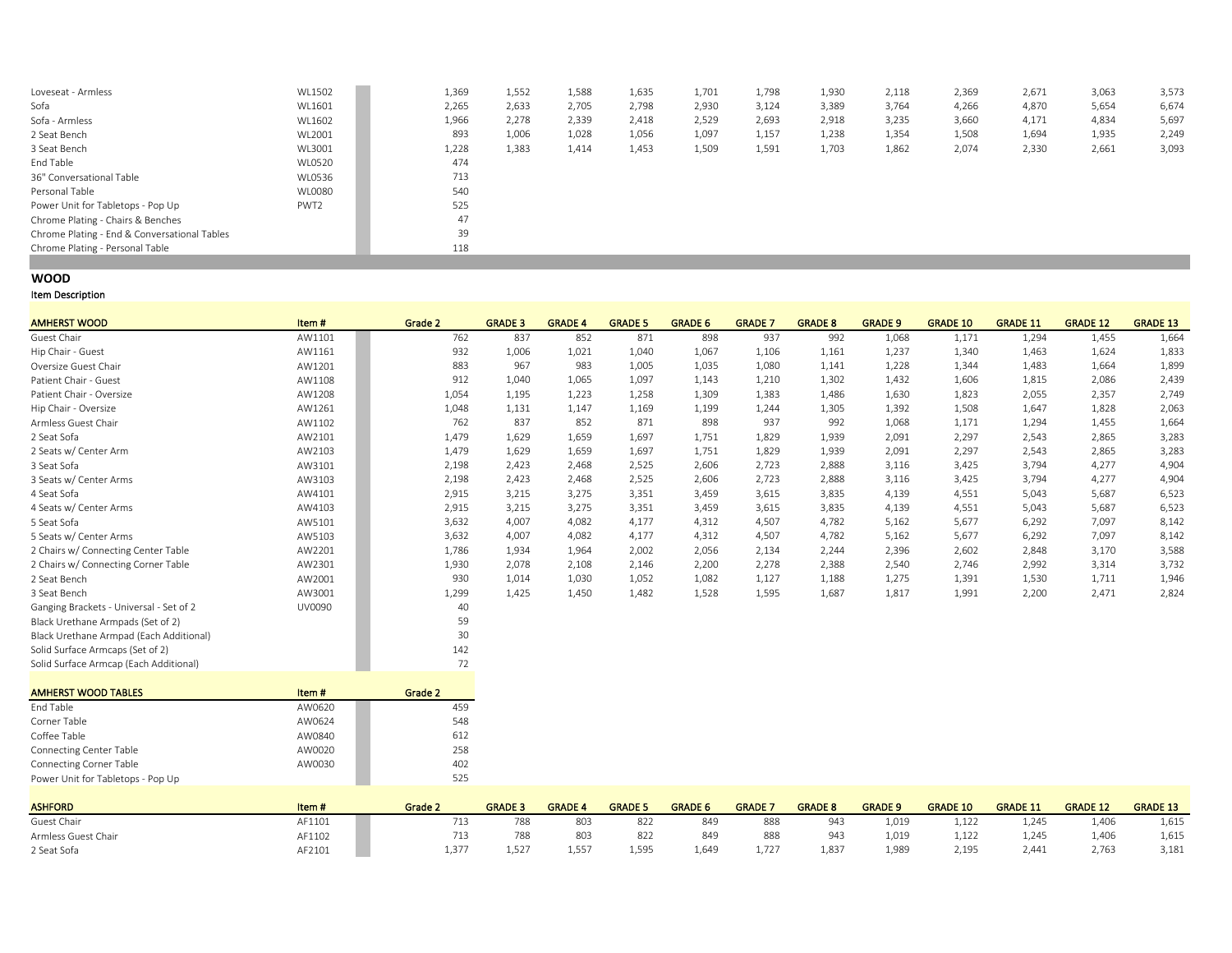| Loveseat - Armless                           | WL1502           | 1,369 | 1,552 | 1,588 | 1,635 | 1,701 | 1,798 | 1,930 | 2,118 | 2,369 | 2,671 | 3,063 | 3,573 |
|----------------------------------------------|------------------|-------|-------|-------|-------|-------|-------|-------|-------|-------|-------|-------|-------|
| Sofa                                         | WL1601           | 2,265 | 2,633 | 2,705 | 2,798 | 2,930 | 3,124 | 3,389 | 3,764 | 4,266 | 4,870 | 5,654 | 6,674 |
| Sofa - Armless                               | WL1602           | 1,966 | 2,278 | 2,339 | 2,418 | 2,529 | 2,693 | 2,918 | 3,235 | 3,660 | 4,171 | 4,834 | 5,697 |
| 2 Seat Bench                                 | WL2001           | 893   | 1,006 | 1,028 | 1,056 | 1,097 | 1,157 | 1,238 | 1,354 | 1,508 | 1,694 | 1,935 | 2,249 |
| 3 Seat Bench                                 | WL3001           | 1,228 | 1,383 | 1,414 | 1,453 | 1,509 | 1,591 | 1,703 | 1,862 | 2,074 | 2,330 | 2,661 | 3,093 |
| End Table                                    | <b>WL0520</b>    | 474   |       |       |       |       |       |       |       |       |       |       |       |
| 36" Conversational Table                     | WL0536           | 713   |       |       |       |       |       |       |       |       |       |       |       |
| Personal Table                               | WL0080           | 540   |       |       |       |       |       |       |       |       |       |       |       |
| Power Unit for Tabletops - Pop Up            | PWT <sub>2</sub> | 525   |       |       |       |       |       |       |       |       |       |       |       |
| Chrome Plating - Chairs & Benches            |                  | 47    |       |       |       |       |       |       |       |       |       |       |       |
| Chrome Plating - End & Conversational Tables |                  | 39    |       |       |       |       |       |       |       |       |       |       |       |
| Chrome Plating - Personal Table              |                  | 118   |       |       |       |       |       |       |       |       |       |       |       |
|                                              |                  |       |       |       |       |       |       |       |       |       |       |       |       |

# **WOOD**

| <b>AMHERST WOOD</b>                     | Item#         | Grade 2              | <b>GRADE 3</b> | <b>GRADE 4</b> | <b>GRADE 5</b> | <b>GRADE 6</b> | <b>GRADE 7</b> | <b>GRADE 8</b> | <b>GRADE 9</b> | <b>GRADE 10</b> | <b>GRADE 11</b> | <b>GRADE 12</b> | <b>GRADE 13</b> |
|-----------------------------------------|---------------|----------------------|----------------|----------------|----------------|----------------|----------------|----------------|----------------|-----------------|-----------------|-----------------|-----------------|
| Guest Chair                             | AW1101        | 762                  | 837            | 852            | 871            | 898            | 937            | 992            | 1,068          | 1,171           | 1,294           | 1,455           | 1,664           |
| Hip Chair - Guest                       | AW1161        | 932                  | 1,006          | 1,021          | 1,040          | 1,067          | 1,106          | 1,161          | 1,237          | 1,340           | 1,463           | 1,624           | 1,833           |
| Oversize Guest Chair                    | AW1201        | 883                  | 967            | 983            | 1,005          | 1,035          | 1,080          | 1,141          | 1,228          | 1,344           | 1,483           | 1,664           | 1,899           |
| Patient Chair - Guest                   | AW1108        | 912                  | 1,040          | 1,065          | 1,097          | 1,143          | 1,210          | 1,302          | 1,432          | 1,606           | 1,815           | 2,086           | 2,439           |
| Patient Chair - Oversize                | AW1208        | 1,054                | 1,195          | 1,223          | 1,258          | 1,309          | 1,383          | 1,486          | 1,630          | 1,823           | 2,055           | 2,357           | 2,749           |
| Hip Chair - Oversize                    | AW1261        | 1,048                | 1,131          | 1,147          | 1,169          | 1,199          | 1,244          | 1,305          | 1,392          | 1,508           | 1,647           | 1,828           | 2,063           |
| Armless Guest Chair                     | AW1102        | 762                  | 837            | 852            | 871            | 898            | 937            | 992            | 1,068          | 1,171           | 1,294           | 1,455           | 1,664           |
| 2 Seat Sofa                             | AW2101        | 1,479                | 1,629          | 1,659          | 1.697          | 1,751          | 1,829          | 1,939          | 2,091          | 2,297           | 2.543           | 2,865           | 3,283           |
| 2 Seats w/ Center Arm                   | AW2103        | 1,479                | 1,629          | 1,659          | 1,697          | 1,751          | 1,829          | 1,939          | 2,091          | 2,297           | 2,543           | 2,865           | 3,283           |
| 3 Seat Sofa                             | AW3101        | 2,198                | 2,423          | 2,468          | 2,525          | 2,606          | 2,723          | 2,888          | 3,116          | 3,425           | 3,794           | 4,277           | 4,904           |
| 3 Seats w/ Center Arms                  | AW3103        | 2,198                | 2,423          | 2,468          | 2,525          | 2,606          | 2,723          | 2,888          | 3,116          | 3,425           | 3,794           | 4,277           | 4,904           |
| 4 Seat Sofa                             | AW4101        | 2,915                | 3,215          | 3,275          | 3,351          | 3,459          | 3,615          | 3,835          | 4,139          | 4,551           | 5,043           | 5,687           | 6,523           |
| 4 Seats w/ Center Arms                  | AW4103        | 2,915                | 3,215          | 3,275          | 3,351          | 3,459          | 3,615          | 3,835          | 4,139          | 4,551           | 5,043           | 5,687           | 6,523           |
| 5 Seat Sofa                             | AW5101        | 3,632                | 4,007          | 4,082          | 4,177          | 4,312          | 4,507          | 4,782          | 5,162          | 5,677           | 6,292           | 7,097           | 8,142           |
| 5 Seats w/ Center Arms                  | AW5103        | 3,632                | 4,007          | 4,082          | 4,177          | 4,312          | 4,507          | 4,782          | 5,162          | 5,677           | 6,292           | 7,097           | 8,142           |
| 2 Chairs w/ Connecting Center Table     | AW2201        | 1,786                | 1,934          | 1,964          | 2,002          | 2,056          | 2,134          | 2,244          | 2,396          | 2,602           | 2,848           | 3,170           | 3,588           |
| 2 Chairs w/ Connecting Corner Table     | AW2301        | 1,930                | 2,078          | 2,108          | 2,146          | 2,200          | 2,278          | 2,388          | 2,540          | 2,746           | 2,992           | 3,314           | 3,732           |
| 2 Seat Bench                            | AW2001        | 930                  | 1,014          | 1,030          | 1,052          | 1,082          | 1,127          | 1,188          | 1,275          | 1,391           | 1,530           | 1,711           | 1,946           |
| 3 Seat Bench                            | AW3001        | 1,299                | 1,425          | 1,450          | 1,482          | 1,528          | 1,595          | 1,687          | 1,817          | 1,991           | 2,200           | 2,471           | 2,824           |
| Ganging Brackets - Universal - Set of 2 | UV0090        | 40                   |                |                |                |                |                |                |                |                 |                 |                 |                 |
| Black Urethane Armpads (Set of 2)       |               | 59                   |                |                |                |                |                |                |                |                 |                 |                 |                 |
| Black Urethane Armpad (Each Additional) |               | 30                   |                |                |                |                |                |                |                |                 |                 |                 |                 |
| Solid Surface Armcaps (Set of 2)        |               | 142                  |                |                |                |                |                |                |                |                 |                 |                 |                 |
| Solid Surface Armcap (Each Additional)  |               | 72                   |                |                |                |                |                |                |                |                 |                 |                 |                 |
| AN ALIEBOT MIGGIN TABLES                | $14.7 - 14.7$ | $\sim$ $\sim$ $\sim$ |                |                |                |                |                |                |                |                 |                 |                 |                 |

| <b>AMHERST WOOD TABLES</b>        | Item#  | Grade 2 |
|-----------------------------------|--------|---------|
| End Table                         | AW0620 | 459     |
| Corner Table                      | AW0624 | 548     |
| Coffee Table                      | AW0840 | 612     |
| Connecting Center Table           | AW0020 | 258     |
| Connecting Corner Table           | AW0030 | 402     |
| Power Unit for Tabletops - Pop Up |        | 525     |

| <b>ASHFORD</b>      | Item#  | <b>Grade 2</b> | <b>GRADE 3</b> | <b>GRADE</b> | <b>GRADE</b> | <b>GRADE 6</b> | <b>GRADE</b> | <b>GRADE 8</b> | <b>GRADE 9</b> | <b>GRADE 10</b> | <b>GRADE 11</b> | <b>GRADE 12</b> | <b>GRADE 13</b> |
|---------------------|--------|----------------|----------------|--------------|--------------|----------------|--------------|----------------|----------------|-----------------|-----------------|-----------------|-----------------|
| Guest Chair         | AF1101 |                |                | 803          | 822          | 849            | 888          | 943            | 1,019          | 1,122           | .245            | 1,406           | 1,615           |
| Armless Guest Chair | AF1102 |                | 788            | 803          | 822          | 849            | 888          | 943            | 1,019          | 1,122           | 245             | 1,406           | 1,615           |
| 2 Seat Sofa         | AF2101 | 1.377          | 1.527          | 1.557        | 1,595        | $1,64^c$       | 1.727        | 1,837          | 1,989          | 2,195           | 2.441           | 2,763           | 3,181           |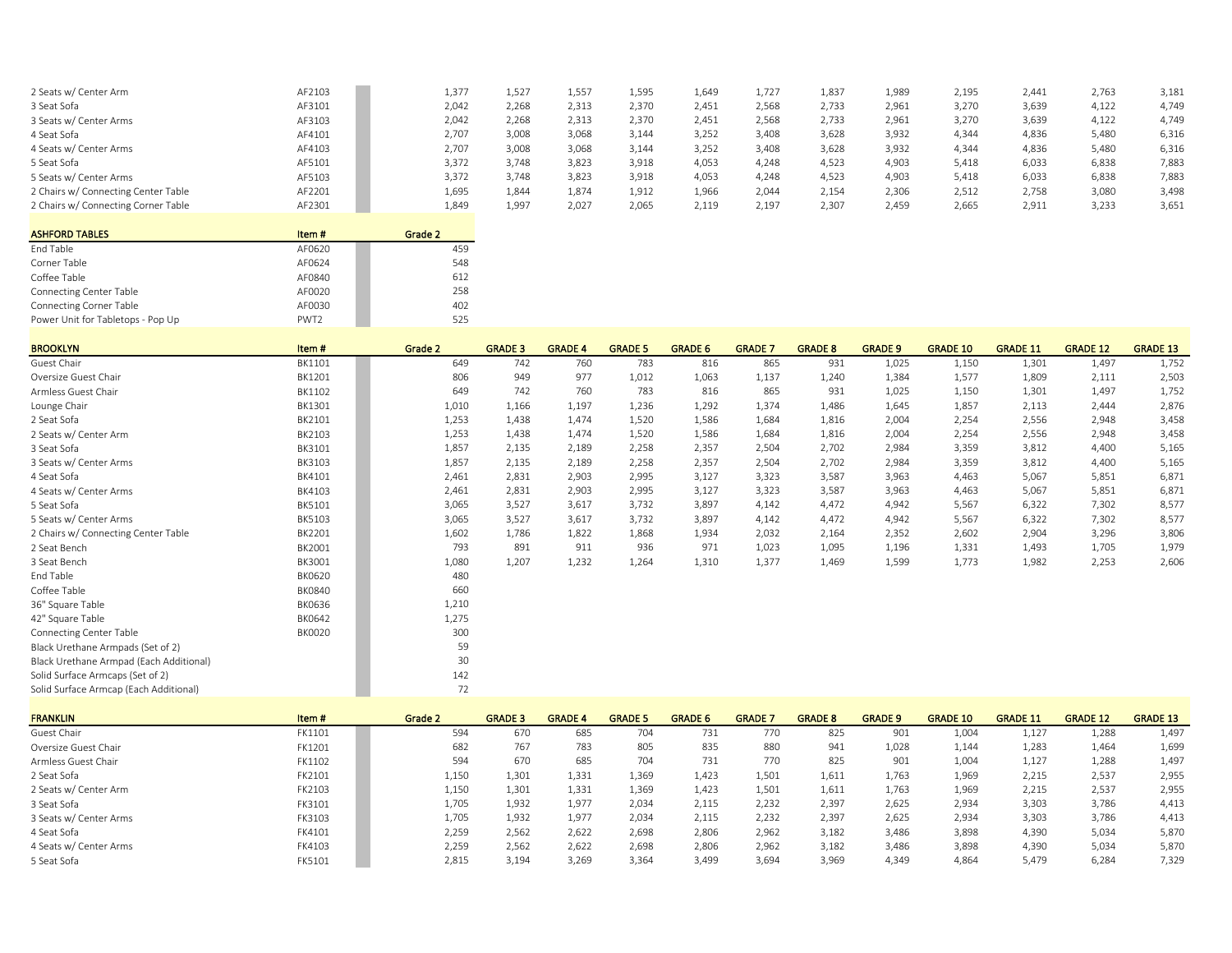| 2 Seats w/ Center Arm               | AF2103 | 1,377 | 1,527 | 1,557 | 1,595 | 1,649 | 1,727 | 1,837 | 1,989 | 2,195 | 2.441 | 2,763 | 3,181 |
|-------------------------------------|--------|-------|-------|-------|-------|-------|-------|-------|-------|-------|-------|-------|-------|
| 3 Seat Sofa                         | AF3101 | 2,042 | 2,268 | 2,313 | 2,370 | 2,451 | 2,568 | 2.733 | 2,961 | 3,270 | 3,639 | 4,122 | 4.749 |
| 3 Seats w/ Center Arms              | AF3103 | 2,042 | 2.268 | 2.313 | 2,370 | 2.451 | 2.568 | 2.733 | 2,961 | 3,270 | 3,639 | 4,122 | 4,749 |
| 4 Seat Sofa                         | AF4101 | 2.707 | 3.008 | 3,068 | 3.144 | 3,252 | 3,408 | 3,628 | 3,932 | 4.344 | 4.836 | 5.480 | 6,316 |
| 4 Seats w/ Center Arms              | AF4103 | 2,707 | 3,008 | 3,068 | 3,144 | 3,252 | 3,408 | 3,628 | 3,932 | 4,344 | 4,836 | 5,480 | 6,316 |
| 5 Seat Sofa                         | AF5101 | 3.372 | 3,748 | 3.823 | 3,918 | 4.053 | 4,248 | 4,523 | 4,903 | 5,418 | 6.033 | 6.838 | 7,883 |
| 5 Seats w/ Center Arms              | AF5103 | 3,372 | 3,748 | 3,823 | 3,918 | 4,053 | 4,248 | 4,523 | 4,903 | 5,418 | 6,033 | 6,838 | 7,883 |
| 2 Chairs w/ Connecting Center Table | AF2201 | 1,695 | 1,844 | 1,874 | 1,912 | 1,966 | 2,044 | 2,154 | 2,306 | 2,512 | 2,758 | 3,080 | 3,498 |
| 2 Chairs w/ Connecting Corner Table | AF2301 | 1,849 | 1,997 | 2,027 | 2,065 | 2.119 | 2.197 | 2.307 | 2,459 | 2,665 | 2.911 | 3,233 | 3,651 |
|                                     |        |       |       |       |       |       |       |       |       |       |       |       |       |

| <b>ASHFORD TABLES</b>             | Item#            | Grade 2 |
|-----------------------------------|------------------|---------|
| End Table                         | AF0620           | 459     |
| Corner Table                      | AF0624           | 548     |
| Coffee Table                      | AF0840           | 612     |
| <b>Connecting Center Table</b>    | AF0020           | 258     |
| <b>Connecting Corner Table</b>    | AF0030           | 402     |
| Power Unit for Tabletops - Pop Up | PWT <sub>2</sub> | 525     |

| <b>BROOKLYN</b>                         | Item#         | Grade 2 | <b>GRADE 3</b> | <b>GRADE 4</b> | <b>GRADE 5</b> | <b>GRADE 6</b> | <b>GRADE 7</b> | <b>GRADE 8</b> | <b>GRADE 9</b> | <b>GRADE 10</b> | <b>GRADE 11</b> | <b>GRADE 12</b> | <b>GRADE 13</b> |
|-----------------------------------------|---------------|---------|----------------|----------------|----------------|----------------|----------------|----------------|----------------|-----------------|-----------------|-----------------|-----------------|
| Guest Chair                             | BK1101        | 649     | 742            | 760            | 783            | 816            | 865            | 931            | 1,025          | 1,150           | 1,301           | 1,497           | 1,752           |
| Oversize Guest Chair                    | BK1201        | 806     | 949            | 977            | 1,012          | 1,063          | 1,137          | 1,240          | 1,384          | 1,577           | 1,809           | 2,111           | 2,503           |
| Armless Guest Chair                     | BK1102        | 649     | 742            | 760            | 783            | 816            | 865            | 931            | 1,025          | 1,150           | 1,301           | 1,497           | 1,752           |
| Lounge Chair                            | BK1301        | 1,010   | 1,166          | 1,197          | 1,236          | 1,292          | 1,374          | 1,486          | 1,645          | 1,857           | 2,113           | 2,444           | 2,876           |
| 2 Seat Sofa                             | BK2101        | 1,253   | 1,438          | 1,474          | 1,520          | 1,586          | 1,684          | 1,816          | 2,004          | 2,254           | 2,556           | 2,948           | 3,458           |
| 2 Seats w/ Center Arm                   | BK2103        | 1,253   | 1,438          | 1.474          | 1,520          | 1,586          | 1,684          | 1,816          | 2,004          | 2,254           | 2,556           | 2,948           | 3,458           |
| 3 Seat Sofa                             | BK3101        | 1,857   | 2,135          | 2,189          | 2,258          | 2,357          | 2,504          | 2,702          | 2,984          | 3,359           | 3,812           | 4,400           | 5,165           |
| 3 Seats w/ Center Arms                  | BK3103        | 1,857   | 2,135          | 2,189          | 2,258          | 2,357          | 2,504          | 2,702          | 2,984          | 3,359           | 3,812           | 4,400           | 5,165           |
| 4 Seat Sofa                             | BK4101        | 2,461   | 2,831          | 2,903          | 2,995          | 3,127          | 3,323          | 3,587          | 3,963          | 4,463           | 5,067           | 5,851           | 6,871           |
| 4 Seats w/ Center Arms                  | BK4103        | 2,461   | 2,831          | 2,903          | 2,995          | 3,127          | 3,323          | 3,587          | 3,963          | 4,463           | 5,067           | 5,851           | 6,871           |
| 5 Seat Sofa                             | BK5101        | 3,065   | 3,527          | 3,617          | 3,732          | 3,897          | 4,142          | 4,472          | 4,942          | 5,567           | 6,322           | 7,302           | 8,577           |
| 5 Seats w/ Center Arms                  | <b>BK5103</b> | 3,065   | 3,527          | 3,617          | 3,732          | 3,897          | 4,142          | 4,472          | 4,942          | 5,567           | 6,322           | 7,302           | 8,577           |
| 2 Chairs w/ Connecting Center Table     | BK2201        | 1,602   | 1,786          | 1,822          | 1,868          | 1,934          | 2,032          | 2,164          | 2,352          | 2,602           | 2,904           | 3,296           | 3,806           |
| 2 Seat Bench                            | BK2001        | 793     | 891            | 911            | 936            | 971            | 1,023          | 1,095          | 1,196          | 1,331           | 1,493           | 1,705           | 1,979           |
| 3 Seat Bench                            | BK3001        | 1,080   | 1,207          | 1,232          | 1,264          | 1,310          | 1,377          | 1,469          | 1,599          | 1,773           | 1,982           | 2,253           | 2,606           |
| End Table                               | <b>BK0620</b> | 480     |                |                |                |                |                |                |                |                 |                 |                 |                 |
| Coffee Table                            | <b>BK0840</b> | 660     |                |                |                |                |                |                |                |                 |                 |                 |                 |
| 36" Square Table                        | BK0636        | 1,210   |                |                |                |                |                |                |                |                 |                 |                 |                 |
| 42" Square Table                        | <b>BK0642</b> | 1,275   |                |                |                |                |                |                |                |                 |                 |                 |                 |
| Connecting Center Table                 | <b>BK0020</b> | 300     |                |                |                |                |                |                |                |                 |                 |                 |                 |
| Black Urethane Armpads (Set of 2)       |               | 59      |                |                |                |                |                |                |                |                 |                 |                 |                 |
| Black Urethane Armpad (Each Additional) |               | 30      |                |                |                |                |                |                |                |                 |                 |                 |                 |
| Solid Surface Armcaps (Set of 2)        |               | 142     |                |                |                |                |                |                |                |                 |                 |                 |                 |
| Solid Surface Armcap (Each Additional)  |               | 72      |                |                |                |                |                |                |                |                 |                 |                 |                 |

| <b>FRANKLIN</b>        | Item#  | Grade 2 | <b>GRADE 3</b> | <b>GRADE 4</b> | <b>GRADE 5</b> | <b>GRADE 6</b> | <b>GRADE</b> 7 | <b>GRADE 8</b> | <b>GRADE 9</b> | <b>GRADE 10</b> | <b>GRADE 11</b> | <b>GRADE 12</b> | <b>GRADE 13</b> |
|------------------------|--------|---------|----------------|----------------|----------------|----------------|----------------|----------------|----------------|-----------------|-----------------|-----------------|-----------------|
| Guest Chair            | FK1101 | 594     | 670            | 685            | 704            | 731            | 770            | 825            | 901            | 1,004           | 1,127           | 1,288           | 1,497           |
| Oversize Guest Chair   | FK1201 | 682     | 767            | 783            | 805            | 835            | 880            | 941            | 1,028          | 1,144           | 1,283           | 1,464           | 1,699           |
| Armless Guest Chair    | FK1102 | 594     | 670            | 685            | 704            | 731            | 770            | 825            | 901            | 1,004           | 1,127           | 1,288           | 1,497           |
| 2 Seat Sofa            | FK2101 | 1,150   | 1,301          | 1,331          | 1,369          | 1.423          | 1,501          | 1,611          | 1,763          | 1,969           | 2,215           | 2,537           | 2,955           |
| 2 Seats w/ Center Arm  | FK2103 | 1,150   | 1,301          | 1,331          | 1,369          | 1,423          | 1,501          | 1,611          | 1,763          | 1,969           | 2,215           | 2,537           | 2,955           |
| 3 Seat Sofa            | FK3101 | 1,705   | 1,932          | 1,977          | 2,034          | 2,115          | 2,232          | 2,397          | 2,625          | 2,934           | 3,303           | 3,786           | 4,413           |
| 3 Seats w/ Center Arms | FK3103 | 1.705   | 1.932          | 1.977          | 2.034          | 2,115          | 2.232          | 2,397          | 2,625          | 2,934           | 3.303           | 3,786           | 4,413           |
| 4 Seat Sofa            | FK4101 | 2,259   | 2,562          | 2,622          | 2,698          | 2,806          | 2,962          | 3,182          | 3,486          | 3,898           | 4,390           | 5,034           | 5,870           |
| 4 Seats w/ Center Arms | FK4103 | 2,259   | 2,562          | 2,622          | 2,698          | 2,806          | 2,962          | 3,182          | 3,486          | 3,898           | 4,390           | 5,034           | 5,870           |
| 5 Seat Sofa            | FK5101 | 2,815   | 3.194          | 3.269          | 3.364          | 3,499          | 3.694          | 3.969          | 4.349          | 4.864           | 5.479           | 6.284           | 7,329           |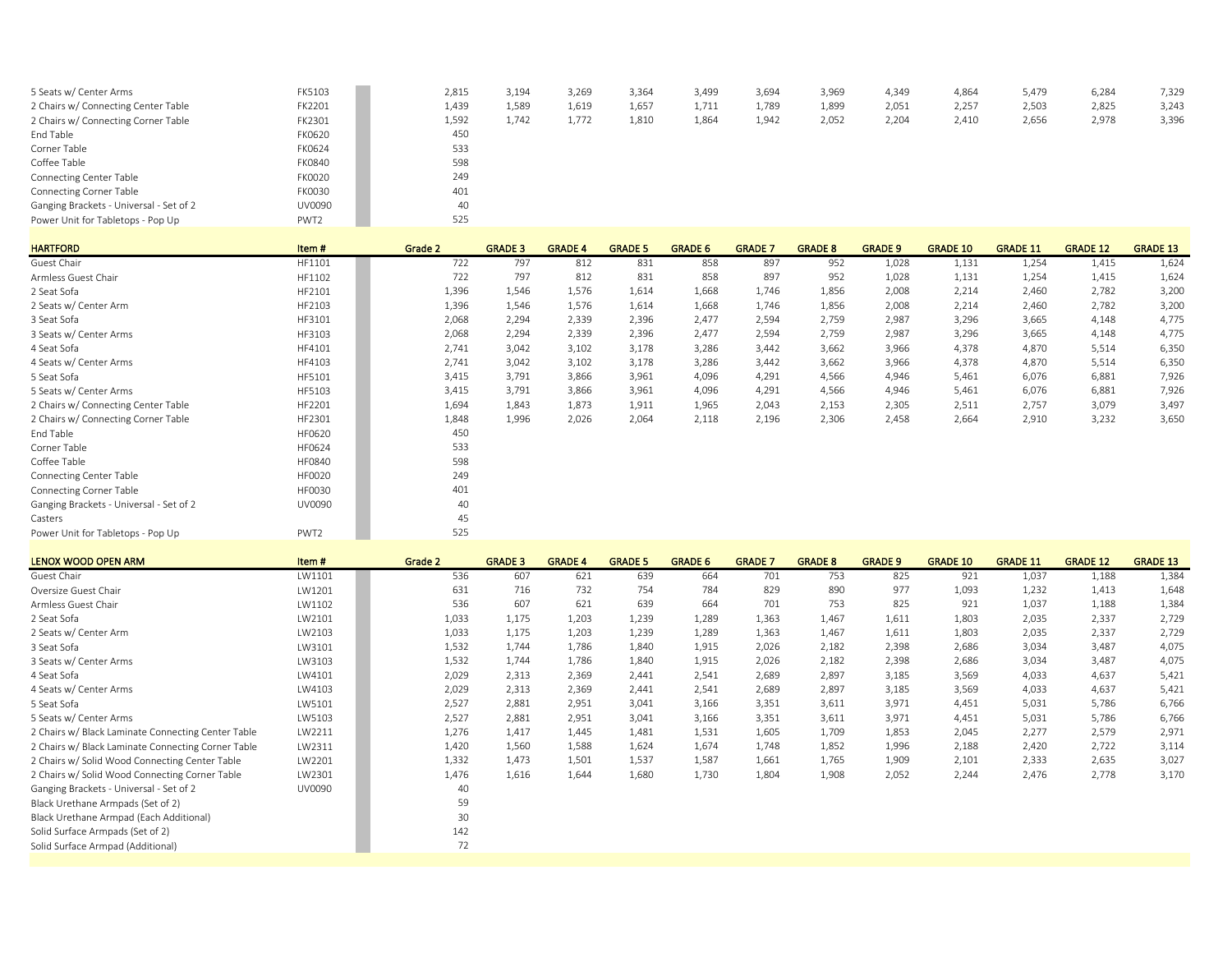| 5 Seats w/ Center Arms                  | FK5103           | 2,815 | 3.194 | 3.269 | 3,364 | 3,499 | 3,694 | 3,969 | 4,349 | 4,864 | 5,479 | 6,284 | 7,329 |
|-----------------------------------------|------------------|-------|-------|-------|-------|-------|-------|-------|-------|-------|-------|-------|-------|
| 2 Chairs w/ Connecting Center Table     | FK2201           | 1,439 | 1,589 | 1,619 | 1,657 | 1,711 | 1,789 | 1,899 | 2,051 | 2,257 | 2,503 | 2,825 | 3,243 |
| 2 Chairs w/ Connecting Corner Table     | FK2301           | 1,592 | 1,742 | 1,772 | 1,810 | 1,864 | 1,942 | 2,052 | 2,204 | 2,410 | 2,656 | 2,978 | 3,396 |
| End Table                               | FK0620           | 450   |       |       |       |       |       |       |       |       |       |       |       |
| Corner Table                            | FK0624           | 533   |       |       |       |       |       |       |       |       |       |       |       |
| Coffee Table                            | FK0840           | 598   |       |       |       |       |       |       |       |       |       |       |       |
| <b>Connecting Center Table</b>          | <b>FK0020</b>    | 249   |       |       |       |       |       |       |       |       |       |       |       |
| <b>Connecting Corner Table</b>          | FK0030           | 401   |       |       |       |       |       |       |       |       |       |       |       |
| Ganging Brackets - Universal - Set of 2 | UV0090           | 40    |       |       |       |       |       |       |       |       |       |       |       |
| Power Unit for Tabletops - Pop Up       | PWT <sub>2</sub> | 525   |       |       |       |       |       |       |       |       |       |       |       |

| <b>HARTFORD</b>                         | Item#            | Grade 2 | <b>GRADE 3</b> | <b>GRADE 4</b> | <b>GRADE 5</b> | <b>GRADE 6</b> | <b>GRADE 7</b> | <b>GRADE 8</b> | <b>GRADE 9</b> | <b>GRADE 10</b> | <b>GRADE 11</b> | <b>GRADE 12</b> | <b>GRADE 13</b> |
|-----------------------------------------|------------------|---------|----------------|----------------|----------------|----------------|----------------|----------------|----------------|-----------------|-----------------|-----------------|-----------------|
| Guest Chair                             | HF1101           | 722     | 797            | 812            | 831            | 858            | 897            | 952            | 1,028          | 1,131           | 1,254           | 1,415           | 1,624           |
| Armless Guest Chair                     | HF1102           | 722     | 797            | 812            | 831            | 858            | 897            | 952            | 1,028          | 1,131           | 1,254           | 1,415           | 1,624           |
| 2 Seat Sofa                             | HF2101           | 1,396   | 1,546          | 1,576          | 1,614          | 1,668          | 1,746          | 1,856          | 2,008          | 2,214           | 2,460           | 2,782           | 3,200           |
| 2 Seats w/ Center Arm                   | HF2103           | 1,396   | 1,546          | 1,576          | 1,614          | 1,668          | 1,746          | 1,856          | 2,008          | 2,214           | 2,460           | 2,782           | 3,200           |
| 3 Seat Sofa                             | HF3101           | 2,068   | 2,294          | 2,339          | 2,396          | 2,477          | 2,594          | 2,759          | 2,987          | 3,296           | 3,665           | 4,148           | 4,775           |
| 3 Seats w/ Center Arms                  | HF3103           | 2,068   | 2,294          | 2,339          | 2,396          | 2,477          | 2,594          | 2,759          | 2,987          | 3,296           | 3,665           | 4,148           | 4,775           |
| 4 Seat Sofa                             | HF4101           | 2,741   | 3,042          | 3,102          | 3,178          | 3,286          | 3,442          | 3,662          | 3,966          | 4,378           | 4,870           | 5,514           | 6,350           |
| 4 Seats w/ Center Arms                  | HF4103           | 2,741   | 3,042          | 3,102          | 3,178          | 3,286          | 3,442          | 3,662          | 3,966          | 4,378           | 4,870           | 5,514           | 6,350           |
| 5 Seat Sofa                             | HF5101           | 3,415   | 3,791          | 3,866          | 3,961          | 4,096          | 4,291          | 4,566          | 4,946          | 5,461           | 6,076           | 6,881           | 7,926           |
| 5 Seats w/ Center Arms                  | HF5103           | 3,415   | 3,791          | 3,866          | 3,961          | 4,096          | 4,291          | 4,566          | 4,946          | 5,461           | 6,076           | 6,881           | 7,926           |
| 2 Chairs w/ Connecting Center Table     | HF2201           | 1,694   | 1.843          | 1,873          | 1,911          | 1,965          | 2,043          | 2,153          | 2,305          | 2,511           | 2,757           | 3,079           | 3,497           |
| 2 Chairs w/ Connecting Corner Table     | HF2301           | 1,848   | 1,996          | 2,026          | 2,064          | 2,118          | 2,196          | 2,306          | 2,458          | 2,664           | 2,910           | 3,232           | 3,650           |
| End Table                               | HF0620           | 450     |                |                |                |                |                |                |                |                 |                 |                 |                 |
| Corner Table                            | HF0624           | 533     |                |                |                |                |                |                |                |                 |                 |                 |                 |
| Coffee Table                            | <b>HF0840</b>    | 598     |                |                |                |                |                |                |                |                 |                 |                 |                 |
| Connecting Center Table                 | <b>HF0020</b>    | 249     |                |                |                |                |                |                |                |                 |                 |                 |                 |
| <b>Connecting Corner Table</b>          | <b>HF0030</b>    | 401     |                |                |                |                |                |                |                |                 |                 |                 |                 |
| Ganging Brackets - Universal - Set of 2 | UV0090           | 40      |                |                |                |                |                |                |                |                 |                 |                 |                 |
| Casters                                 |                  | 45      |                |                |                |                |                |                |                |                 |                 |                 |                 |
| Power Unit for Tabletops - Pop Up       | PWT <sub>2</sub> | 525     |                |                |                |                |                |                |                |                 |                 |                 |                 |

| LENOX WOOD OPEN ARM                                | Item#  | Grade 2 | <b>GRADE 3</b> | <b>GRADE 4</b> | <b>GRADE 5</b> | <b>GRADE 6</b> | <b>GRADE 7</b> | <b>GRADE 8</b> | <b>GRADE 9</b> | <b>GRADE 10</b> | <b>GRADE 11</b> | <b>GRADE 12</b> | <b>GRADE 13</b> |
|----------------------------------------------------|--------|---------|----------------|----------------|----------------|----------------|----------------|----------------|----------------|-----------------|-----------------|-----------------|-----------------|
| Guest Chair                                        | LW1101 | 536     | 607            | 621            | 639            | 664            | 701            | 753            | 825            | 921             | 1,037           | 1,188           | 1,384           |
| Oversize Guest Chair                               | LW1201 | 631     | 716            | 732            | 754            | 784            | 829            | 890            | 977            | 1,093           | 1,232           | 1,413           | 1,648           |
| Armless Guest Chair                                | LW1102 | 536     | 607            | 621            | 639            | 664            | 701            | 753            | 825            | 921             | 1,037           | 1,188           | 1,384           |
| 2 Seat Sofa                                        | LW2101 | 1,033   | 1,175          | 1,203          | 1,239          | 1,289          | 1,363          | 1,467          | 1,611          | 1,803           | 2,035           | 2,337           | 2,729           |
| 2 Seats w/ Center Arm                              | LW2103 | 1,033   | 1,175          | 1,203          | 1,239          | 1,289          | 1,363          | 1,467          | 1,611          | 1,803           | 2,035           | 2,337           | 2,729           |
| 3 Seat Sofa                                        | LW3101 | 1,532   | 1,744          | 1,786          | 1,840          | 1,915          | 2,026          | 2,182          | 2,398          | 2,686           | 3,034           | 3,487           | 4,075           |
| 3 Seats w/ Center Arms                             | LW3103 | 1,532   | 1,744          | 1,786          | 1,840          | 1,915          | 2,026          | 2,182          | 2,398          | 2,686           | 3,034           | 3,487           | 4,075           |
| 4 Seat Sofa                                        | LW4101 | 2,029   | 2,313          | 2,369          | 2,441          | 2,541          | 2,689          | 2,897          | 3,185          | 3,569           | 4,033           | 4,637           | 5,421           |
| 4 Seats w/ Center Arms                             | LW4103 | 2,029   | 2,313          | 2,369          | 2,441          | 2,541          | 2,689          | 2,897          | 3,185          | 3,569           | 4,033           | 4,637           | 5,421           |
| 5 Seat Sofa                                        | LW5101 | 2,527   | 2,881          | 2,951          | 3,041          | 3,166          | 3,351          | 3,611          | 3,971          | 4,451           | 5,031           | 5,786           | 6,766           |
| 5 Seats w/ Center Arms                             | LW5103 | 2,527   | 2,881          | 2,951          | 3,041          | 3,166          | 3,351          | 3,611          | 3,971          | 4,451           | 5,031           | 5,786           | 6,766           |
| 2 Chairs w/ Black Laminate Connecting Center Table | LW2211 | 1,276   | 1,417          | 1,445          | 1,481          | 1,531          | 1,605          | 1,709          | 1,853          | 2,045           | 2,277           | 2,579           | 2,971           |
| 2 Chairs w/ Black Laminate Connecting Corner Table | LW2311 | 1,420   | 1,560          | 1,588          | 1,624          | 1,674          | 1,748          | 1,852          | 1,996          | 2,188           | 2,420           | 2,722           | 3,114           |
| 2 Chairs w/ Solid Wood Connecting Center Table     | LW2201 | 1,332   | 1,473          | 1,501          | 1,537          | 1,587          | 1,661          | 1,765          | 1,909          | 2,101           | 2,333           | 2,635           | 3,027           |
| 2 Chairs w/ Solid Wood Connecting Corner Table     | LW2301 | 1,476   | 1,616          | 1,644          | 1,680          | 1,730          | 1,804          | 1,908          | 2,052          | 2,244           | 2,476           | 2,778           | 3,170           |
| Ganging Brackets - Universal - Set of 2            | UV0090 | 40      |                |                |                |                |                |                |                |                 |                 |                 |                 |
| Black Urethane Armpads (Set of 2)                  |        | 59      |                |                |                |                |                |                |                |                 |                 |                 |                 |
| Black Urethane Armpad (Each Additional)            |        | 30      |                |                |                |                |                |                |                |                 |                 |                 |                 |
| Solid Surface Armpads (Set of 2)                   |        | 142     |                |                |                |                |                |                |                |                 |                 |                 |                 |
| Solid Surface Armpad (Additional)                  |        | 72      |                |                |                |                |                |                |                |                 |                 |                 |                 |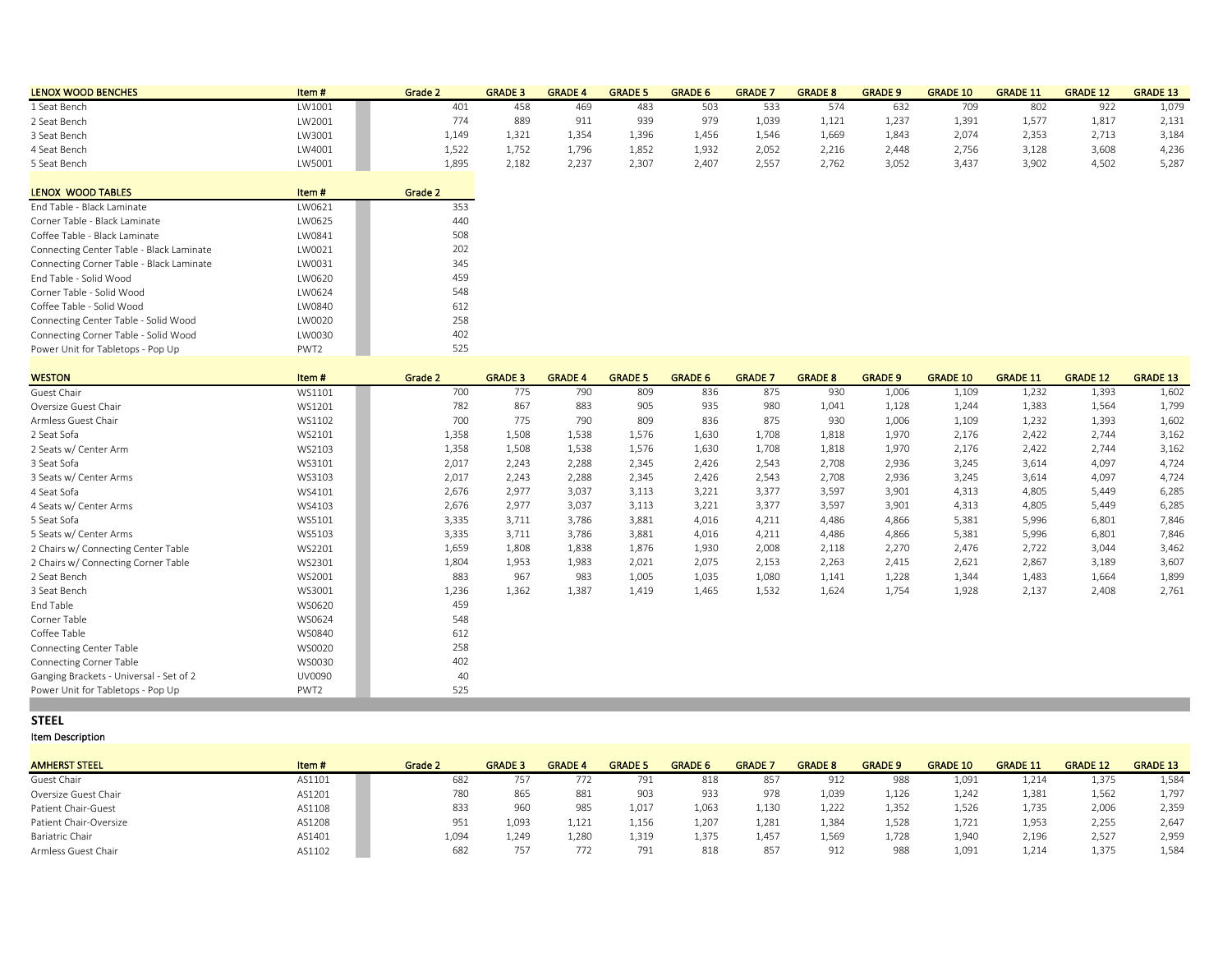| <b>LENOX WOOD BENCHES</b> | Item#  | Grade 2 | <b>GRADE 3</b> | <b>GRADE</b>    | <b>GRADE 5</b> | <b>GRADE 6</b> | <b>GRADE</b> | <b>GRADE 8</b> | <b>GRADE 9</b> | <b>GRADE 10</b> | <b>GRADE 11</b> | <b>GRADE 12</b> | <b>GRADE 13</b> |
|---------------------------|--------|---------|----------------|-----------------|----------------|----------------|--------------|----------------|----------------|-----------------|-----------------|-----------------|-----------------|
| 1 Seat Bench              | LW1001 | 401     | 458            | 46 <sup>c</sup> | 483            |                |              | 574            | 632            | 70S             | 802             | 922             | 1,079           |
| 2 Seat Bench              | LW2001 | 774     | 889            | Q1<br>ᇰᆂᆂ       | 939            | Q70            | 1,039        | 1,121          | 1,237          | 1,391           | 1,5/            | 1,817           | 2,131           |
| 3 Seat Bench              | LW3001 | 1,149   | 1,321          | 1.354           | 1,396          | 1,456          | 1,546        | 1,669          | 1,843          | 2,074           | 2,353           | 2,713           | 3,184           |
| 4 Seat Bench              | LW4001 | 1.522   | 1.752          | 1.796           | 1.852          | 1.932          | 2.052        | 2.216          | 2.448          | 2.756           | 3.128           | 3.608           | 4,236           |
| 5 Seat Bench              | LW5001 | 1,895   | 2,182          | 2,237           | 2,307          | 2,407          | $2,55^{-}$   | 2,762          | 3,052          | 3,437           | 3,902           | 4,502           | 5,287           |

| LENOX WOOD TABLES                        | Item#            | Grade 2 |
|------------------------------------------|------------------|---------|
| End Table - Black Laminate               | LW0621           | 353     |
| Corner Table - Black Laminate            | LW0625           | 440     |
| Coffee Table - Black Laminate            | I W0841          | 508     |
| Connecting Center Table - Black Laminate | LW0021           | 202     |
| Connecting Corner Table - Black Laminate | LW0031           | 345     |
| End Table - Solid Wood                   | LW0620           | 459     |
| Corner Table - Solid Wood                | I W0624          | 548     |
| Coffee Table - Solid Wood                | <b>LW0840</b>    | 612     |
| Connecting Center Table - Solid Wood     | LW0020           | 258     |
| Connecting Corner Table - Solid Wood     | LW0030           | 402     |
| Power Unit for Tabletops - Pop Up        | PWT <sub>2</sub> | 525     |

| <b>WESTON</b>                           | Item#  | Grade 2 | <b>GRADE 3</b> | <b>GRADE 4</b> | <b>GRADE 5</b> | <b>GRADE 6</b> | <b>GRADE 7</b> | <b>GRADE 8</b> | <b>GRADE 9</b> | <b>GRADE 10</b> | <b>GRADE 11</b> | <b>GRADE 12</b> | <b>GRADE 13</b> |
|-----------------------------------------|--------|---------|----------------|----------------|----------------|----------------|----------------|----------------|----------------|-----------------|-----------------|-----------------|-----------------|
| Guest Chair                             | WS1101 | 700     | 775            | 790            | 809            | 836            | 875            | 930            | 1,006          | 1,109           | 1,232           | 1,393           | 1,602           |
| Oversize Guest Chair                    | WS1201 | 782     | 867            | 883            | 905            | 935            | 980            | 1,041          | 1,128          | 1,244           | 1,383           | 1,564           | 1,799           |
| Armless Guest Chair                     | WS1102 | 700     | 775            | 790            | 809            | 836            | 875            | 930            | 1,006          | 1,109           | 1,232           | 1,393           | 1,602           |
| 2 Seat Sofa                             | WS2101 | 1,358   | 1,508          | 1,538          | 1,576          | 1,630          | 1,708          | 1,818          | 1,970          | 2,176           | 2,422           | 2.744           | 3,162           |
| 2 Seats w/ Center Arm                   | WS2103 | 1,358   | 1,508          | 1,538          | 1,576          | 1,630          | 1,708          | 1,818          | 1,970          | 2,176           | 2,422           | 2,744           | 3,162           |
| 3 Seat Sofa                             | WS3101 | 2,017   | 2,243          | 2,288          | 2,345          | 2,426          | 2,543          | 2,708          | 2,936          | 3,245           | 3,614           | 4,097           | 4,724           |
| 3 Seats w/ Center Arms                  | WS3103 | 2,017   | 2.243          | 2,288          | 2.345          | 2,426          | 2,543          | 2,708          | 2,936          | 3,245           | 3,614           | 4,097           | 4,724           |
| 4 Seat Sofa                             | WS4101 | 2,676   | 2,977          | 3,037          | 3,113          | 3,221          | 3,377          | 3,597          | 3,901          | 4,313           | 4,805           | 5,449           | 6,285           |
| 4 Seats w/ Center Arms                  | WS4103 | 2,676   | 2,977          | 3,037          | 3,113          | 3,221          | 3,377          | 3,597          | 3,901          | 4,313           | 4,805           | 5,449           | 6,285           |
| 5 Seat Sofa                             | WS5101 | 3,335   | 3,711          | 3,786          | 3,881          | 4,016          | 4,211          | 4,486          | 4,866          | 5,381           | 5,996           | 6,801           | 7,846           |
| 5 Seats w/ Center Arms                  | WS5103 | 3,335   | 3,711          | 3,786          | 3,881          | 4,016          | 4,211          | 4,486          | 4,866          | 5,381           | 5,996           | 6,801           | 7,846           |
| 2 Chairs w/ Connecting Center Table     | WS2201 | 1,659   | 1,808          | 1,838          | 1,876          | 1,930          | 2,008          | 2,118          | 2,270          | 2,476           | 2,722           | 3,044           | 3,462           |
| 2 Chairs w/ Connecting Corner Table     | WS2301 | 1,804   | 1,953          | 1,983          | 2,021          | 2,075          | 2,153          | 2,263          | 2,415          | 2,621           | 2,867           | 3,189           | 3,607           |
| 2 Seat Bench                            | WS2001 | 883     | 967            | 983            | 1,005          | 1,035          | 1,080          | 1,141          | 1,228          | 1,344           | 1,483           | 1,664           | 1,899           |
| 3 Seat Bench                            | WS3001 | 1,236   | 1,362          | 1,387          | 1,419          | 1,465          | 1,532          | 1,624          | 1,754          | 1,928           | 2,137           | 2,408           | 2,761           |
| End Table                               | WS0620 | 459     |                |                |                |                |                |                |                |                 |                 |                 |                 |
| Corner Table                            | WS0624 | 548     |                |                |                |                |                |                |                |                 |                 |                 |                 |
| Coffee Table                            | WS0840 | 612     |                |                |                |                |                |                |                |                 |                 |                 |                 |
| <b>Connecting Center Table</b>          | WS0020 | 258     |                |                |                |                |                |                |                |                 |                 |                 |                 |
| <b>Connecting Corner Table</b>          | WS0030 | 402     |                |                |                |                |                |                |                |                 |                 |                 |                 |
| Ganging Brackets - Universal - Set of 2 | UV0090 | 40      |                |                |                |                |                |                |                |                 |                 |                 |                 |
| Power Unit for Tabletops - Pop Up       | PWT2   | 525     |                |                |                |                |                |                |                |                 |                 |                 |                 |
|                                         |        |         |                |                |                |                |                |                |                |                 |                 |                 |                 |

### **STEEL**

| <b>AMHERST STEEL</b>   | Item#  | Grade 2 | <b>GRADE 3</b> | <b>GRADE</b>              | <b>GRADE 5</b> | <b>GRADE 6</b> | <b>GRADE</b> | <b>GRADE 8</b> | <b>GRADE 9</b> | <b>GRADE 10</b> | <b>GRADE 11</b> | <b>GRADE 12</b> | <b>GRADE 13</b> |
|------------------------|--------|---------|----------------|---------------------------|----------------|----------------|--------------|----------------|----------------|-----------------|-----------------|-----------------|-----------------|
| Guest Chair            | AS1101 | 682     |                | $^{\prime}$ / $^{\prime}$ | 791            | 818            | 85           | 912            | 988            | 1,091           | 1,214           | 1,375           | 1,584           |
| Oversize Guest Chair   | AS1201 | 780     | 865            | 881                       | 903            | 933            | 978          | 1,039          | 1,126          | 1,242           | 1,381           | 1,562           | 1,797           |
| Patient Chair-Guest    | AS1108 | 833     | 960            | 985                       | 1.017          | 1.063          | 1,13C        | 1,222          | 1,352          | 1,526           | 1.735           | 2.006           | 2,359           |
| Patient Chair-Oversize | AS1208 | 951     | 1,093          | 1,121                     | 1,156          | 1,207          | 1,281        | 1,384          | 1,528          | 1,721           | 1,953           | 2,255           | 2,647           |
| Bariatric Chair        | AS1401 | 1,094   | 1,249          | 1,280                     | 1,319          | 1,375          | 1,457        | 1,569          | 1,728          | 1,940           | 2,196           | 2,527           | 2,959           |
| Armless Guest Chair    | AS1102 | 682     |                | 77                        | 791            | 818            |              | 912            | 988            | 1,091           | 1.214           | 1.375           | 1,584           |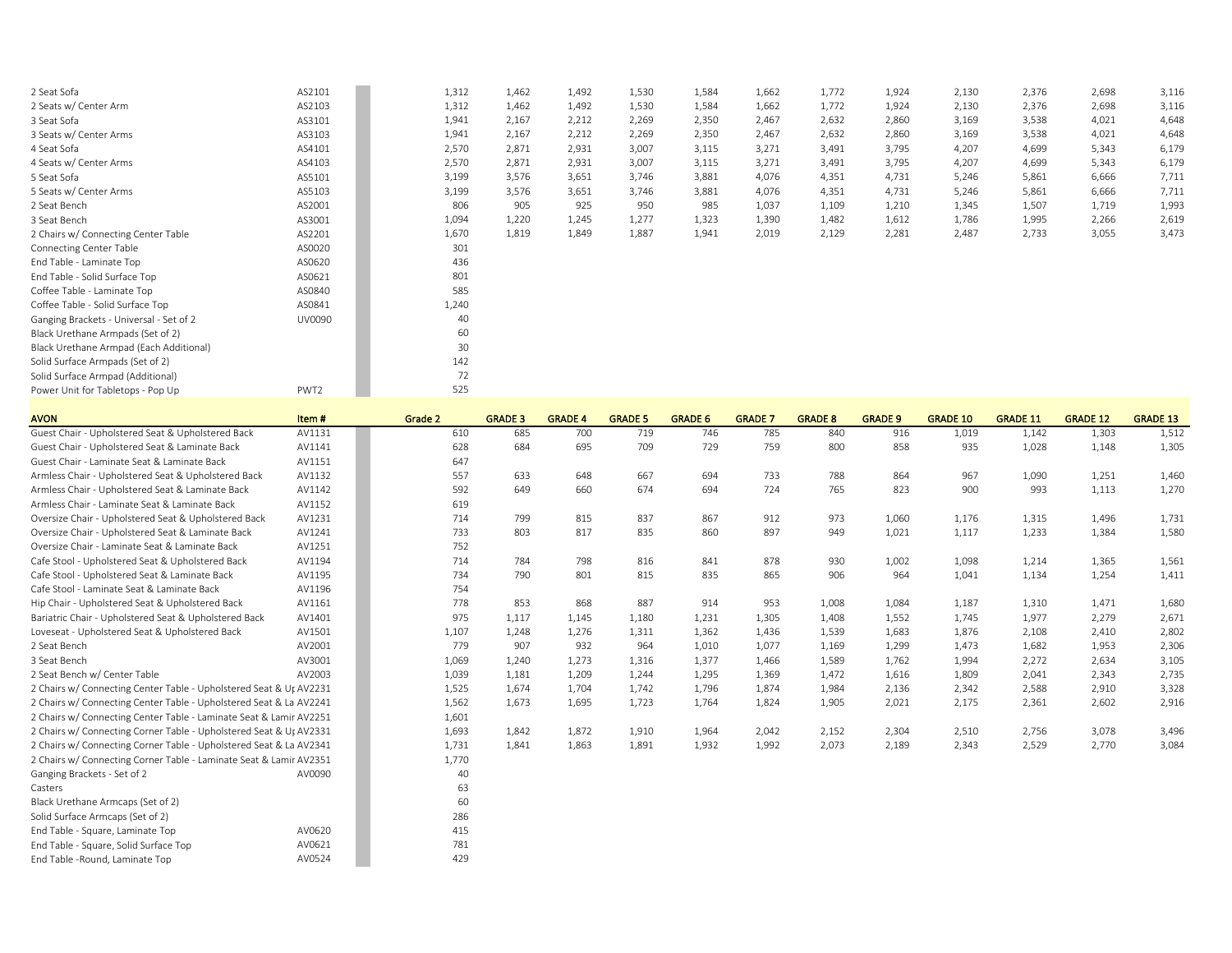| 2 Seat Sofa                             | AS2101 | 1,312 | 1,462 | 1,492 | 1,530 | 1,584 | 1,662 | 1,772 | 1,924 | 2,130 | 2,376 | 2,698 | 3,116 |
|-----------------------------------------|--------|-------|-------|-------|-------|-------|-------|-------|-------|-------|-------|-------|-------|
| 2 Seats w/ Center Arm                   | AS2103 | 1,312 | 1,462 | 1,492 | 1,530 | 1,584 | 1,662 | 1,772 | 1,924 | 2,130 | 2,376 | 2,698 | 3,116 |
| 3 Seat Sofa                             | AS3101 | 1,941 | 2,167 | 2,212 | 2,269 | 2,350 | 2,467 | 2,632 | 2,860 | 3,169 | 3,538 | 4,021 | 4,648 |
| 3 Seats w/ Center Arms                  | AS3103 | 1,941 | 2,167 | 2,212 | 2,269 | 2,350 | 2,467 | 2,632 | 2,860 | 3,169 | 3,538 | 4,021 | 4,648 |
| 4 Seat Sofa                             | AS4101 | 2,570 | 2,871 | 2,931 | 3,007 | 3,115 | 3,271 | 3,491 | 3,795 | 4,207 | 4,699 | 5,343 | 6,179 |
| 4 Seats w/ Center Arms                  | AS4103 | 2,570 | 2,871 | 2,931 | 3,007 | 3,115 | 3,271 | 3,491 | 3,795 | 4,207 | 4,699 | 5,343 | 6,179 |
| 5 Seat Sofa                             | AS5101 | 3,199 | 3,576 | 3,651 | 3,746 | 3,881 | 4,076 | 4,351 | 4,731 | 5,246 | 5,861 | 6,666 | 7,711 |
| 5 Seats w/ Center Arms                  | AS5103 | 3,199 | 3,576 | 3,651 | 3,746 | 3,881 | 4,076 | 4,351 | 4,731 | 5,246 | 5,861 | 6,666 | 7,711 |
| 2 Seat Bench                            | AS2001 | 806   | 905   | 925   | 950   | 985   | 1,037 | 1,109 | 1,210 | 1,345 | 1,507 | 1,719 | 1,993 |
| 3 Seat Bench                            | AS3001 | 1,094 | 1,220 | 1,245 | 1,277 | 1,323 | 1,390 | 1,482 | 1,612 | 1,786 | 1,995 | 2,266 | 2,619 |
| 2 Chairs w/ Connecting Center Table     | AS2201 | 1,670 | 1,819 | 1,849 | 1,887 | 1,941 | 2,019 | 2,129 | 2,281 | 2,487 | 2,733 | 3,055 | 3,473 |
| Connecting Center Table                 | AS0020 | 301   |       |       |       |       |       |       |       |       |       |       |       |
| End Table - Laminate Top                | AS0620 | 436   |       |       |       |       |       |       |       |       |       |       |       |
| End Table - Solid Surface Top           | AS0621 | 801   |       |       |       |       |       |       |       |       |       |       |       |
| Coffee Table - Laminate Top             | AS0840 | 585   |       |       |       |       |       |       |       |       |       |       |       |
| Coffee Table - Solid Surface Top        | AS0841 | 1,240 |       |       |       |       |       |       |       |       |       |       |       |
| Ganging Brackets - Universal - Set of 2 | UV0090 | 40    |       |       |       |       |       |       |       |       |       |       |       |
| Black Urethane Armpads (Set of 2)       |        | 60    |       |       |       |       |       |       |       |       |       |       |       |
| Black Urethane Armpad (Each Additional) |        | 30    |       |       |       |       |       |       |       |       |       |       |       |
| Solid Surface Armpads (Set of 2)        |        | 142   |       |       |       |       |       |       |       |       |       |       |       |
| Solid Surface Armpad (Additional)       |        | 72    |       |       |       |       |       |       |       |       |       |       |       |
| Power Unit for Tabletops - Pop Up       | PWT2   | 525   |       |       |       |       |       |       |       |       |       |       |       |
|                                         |        |       |       |       |       |       |       |       |       |       |       |       |       |

| <b>AVON</b>                                                        | Item#  | Grade 2 | <b>GRADE 3</b> | <b>GRADE 4</b> | <b>GRADE 5</b> | <b>GRADE 6</b> | <b>GRADE 7</b> | <b>GRADE 8</b> | <b>GRADE 9</b> | <b>GRADE 10</b> | <b>GRADE 11</b> | <b>GRADE 12</b> | <b>GRADE 13</b> |
|--------------------------------------------------------------------|--------|---------|----------------|----------------|----------------|----------------|----------------|----------------|----------------|-----------------|-----------------|-----------------|-----------------|
| Guest Chair - Upholstered Seat & Upholstered Back                  | AV1131 | 610     | 685            | 700            | 719            | 746            | 785            | 840            | 916            | 1,019           | 1,142           | 1,303           | 1,512           |
| Guest Chair - Upholstered Seat & Laminate Back                     | AV1141 | 628     | 684            | 695            | 709            | 729            | 759            | 800            | 858            | 935             | 1,028           | 1,148           | 1,305           |
| Guest Chair - Laminate Seat & Laminate Back                        | AV1151 | 647     |                |                |                |                |                |                |                |                 |                 |                 |                 |
| Armless Chair - Upholstered Seat & Upholstered Back                | AV1132 | 557     | 633            | 648            | 667            | 694            | 733            | 788            | 864            | 967             | 1,090           | 1,251           | 1,460           |
| Armless Chair - Upholstered Seat & Laminate Back                   | AV1142 | 592     | 649            | 660            | 674            | 694            | 724            | 765            | 823            | 900             | 993             | 1,113           | 1,270           |
| Armless Chair - Laminate Seat & Laminate Back                      | AV1152 | 619     |                |                |                |                |                |                |                |                 |                 |                 |                 |
| Oversize Chair - Upholstered Seat & Upholstered Back               | AV1231 | 714     | 799            | 815            | 837            | 867            | 912            | 973            | 1,060          | 1,176           | 1,315           | 1,496           | 1,731           |
| Oversize Chair - Upholstered Seat & Laminate Back                  | AV1241 | 733     | 803            | 817            | 835            | 860            | 897            | 949            | 1,021          | 1,117           | 1,233           | 1,384           | 1,580           |
| Oversize Chair - Laminate Seat & Laminate Back                     | AV1251 | 752     |                |                |                |                |                |                |                |                 |                 |                 |                 |
| Cafe Stool - Upholstered Seat & Upholstered Back                   | AV1194 | 714     | 784            | 798            | 816            | 841            | 878            | 930            | 1,002          | 1,098           | 1,214           | 1,365           | 1,561           |
| Cafe Stool - Upholstered Seat & Laminate Back                      | AV1195 | 734     | 790            | 801            | 815            | 835            | 865            | 906            | 964            | 1,041           | 1,134           | 1,254           | 1,411           |
| Cafe Stool - Laminate Seat & Laminate Back                         | AV1196 | 754     |                |                |                |                |                |                |                |                 |                 |                 |                 |
| Hip Chair - Upholstered Seat & Upholstered Back                    | AV1161 | 778     | 853            | 868            | 887            | 914            | 953            | 1,008          | 1,084          | 1,187           | 1,310           | 1,471           | 1,680           |
| Bariatric Chair - Upholstered Seat & Upholstered Back              | AV1401 | 975     | 1,117          | 1,145          | 1,180          | 1,231          | 1,305          | 1,408          | 1,552          | 1,745           | 1,977           | 2,279           | 2,671           |
| Loveseat - Upholstered Seat & Upholstered Back                     | AV1501 | 1,107   | 1,248          | 1,276          | 1,311          | 1,362          | 1,436          | 1,539          | 1,683          | 1,876           | 2,108           | 2,410           | 2,802           |
| 2 Seat Bench                                                       | AV2001 | 779     | 907            | 932            | 964            | 1,010          | 1,077          | 1,169          | 1,299          | 1,473           | 1,682           | 1,953           | 2,306           |
| 3 Seat Bench                                                       | AV3001 | 1,069   | 1,240          | 1,273          | 1,316          | 1,377          | 1,466          | 1,589          | 1,762          | 1,994           | 2,272           | 2,634           | 3,105           |
| 2 Seat Bench w/ Center Table                                       | AV2003 | 1,039   | 1,181          | 1,209          | 1,244          | 1,295          | 1,369          | 1,472          | 1,616          | 1,809           | 2,041           | 2,343           | 2,735           |
| 2 Chairs w/ Connecting Center Table - Upholstered Seat & Ur AV2231 |        | 1,525   | 1,674          | 1,704          | 1,742          | 1,796          | 1,874          | 1,984          | 2,136          | 2,342           | 2,588           | 2,910           | 3,328           |
| 2 Chairs w/ Connecting Center Table - Upholstered Seat & La AV2241 |        | 1,562   | 1,673          | 1,695          | 1,723          | 1,764          | 1,824          | 1,905          | 2,021          | 2,175           | 2,361           | 2,602           | 2,916           |
| 2 Chairs w/ Connecting Center Table - Laminate Seat & Lamir AV2251 |        | 1,601   |                |                |                |                |                |                |                |                 |                 |                 |                 |
| 2 Chairs w/ Connecting Corner Table - Upholstered Seat & Ut AV2331 |        | 1,693   | 1,842          | 1,872          | 1,910          | 1,964          | 2,042          | 2,152          | 2,304          | 2,510           | 2,756           | 3,078           | 3,496           |
| 2 Chairs w/ Connecting Corner Table - Upholstered Seat & La AV2341 |        | 1,731   | 1,841          | 1,863          | 1,891          | 1,932          | 1,992          | 2,073          | 2,189          | 2,343           | 2,529           | 2,770           | 3,084           |
| 2 Chairs w/ Connecting Corner Table - Laminate Seat & Lamir AV2351 |        | 1,770   |                |                |                |                |                |                |                |                 |                 |                 |                 |
| Ganging Brackets - Set of 2                                        | AV0090 | 40      |                |                |                |                |                |                |                |                 |                 |                 |                 |
| Casters                                                            |        | 63      |                |                |                |                |                |                |                |                 |                 |                 |                 |
| Black Urethane Armcaps (Set of 2)                                  |        | 60      |                |                |                |                |                |                |                |                 |                 |                 |                 |
| Solid Surface Armcaps (Set of 2)                                   |        | 286     |                |                |                |                |                |                |                |                 |                 |                 |                 |
| End Table - Square, Laminate Top                                   | AV0620 | 415     |                |                |                |                |                |                |                |                 |                 |                 |                 |
| End Table - Square, Solid Surface Top                              | AV0621 | 781     |                |                |                |                |                |                |                |                 |                 |                 |                 |
| End Table -Round, Laminate Top                                     | AV0524 | 429     |                |                |                |                |                |                |                |                 |                 |                 |                 |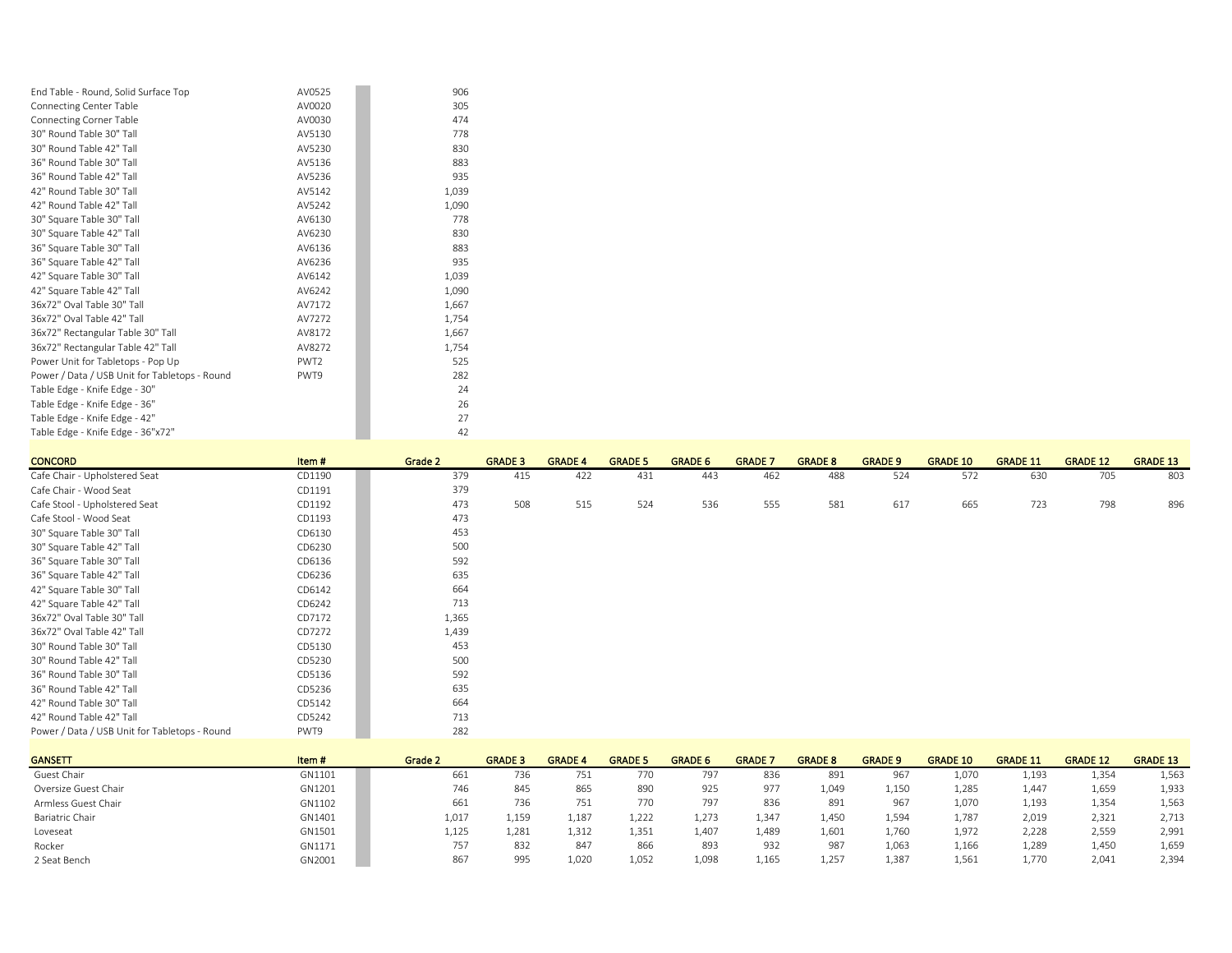| End Table - Round, Solid Surface Top          | AV0525           | 906   |
|-----------------------------------------------|------------------|-------|
| <b>Connecting Center Table</b>                | AV0020           | 305   |
| <b>Connecting Corner Table</b>                | AV0030           | 474   |
| 30" Round Table 30" Tall                      | AV5130           | 778   |
| 30" Round Table 42" Tall                      | AV5230           | 830   |
| 36" Round Table 30" Tall                      | AV5136           | 883   |
| 36" Round Table 42" Tall                      | AV5236           | 935   |
| 42" Round Table 30" Tall                      | AV5142           | 1.039 |
| 42" Round Table 42" Tall                      | AV5242           | 1,090 |
| 30" Square Table 30" Tall                     | AV6130           | 778   |
| 30" Square Table 42" Tall                     | AV6230           | 830   |
| 36" Square Table 30" Tall                     | AV6136           | 883   |
| 36" Square Table 42" Tall                     | AV6236           | 935   |
| 42" Square Table 30" Tall                     | AV6142           | 1,039 |
| 42" Square Table 42" Tall                     | AV6242           | 1,090 |
| 36x72" Oval Table 30" Tall                    | AV7172           | 1,667 |
| 36x72" Oval Table 42" Tall                    | AV7272           | 1,754 |
| 36x72" Rectangular Table 30" Tall             | AV8172           | 1,667 |
| 36x72" Rectangular Table 42" Tall             | AV8272           | 1,754 |
| Power Unit for Tabletops - Pop Up             | PWT <sub>2</sub> | 525   |
| Power / Data / USB Unit for Tabletops - Round | PWT9             | 282   |
| Table Edge - Knife Edge - 30"                 |                  | 24    |
| Table Edge - Knife Edge - 36"                 |                  | 26    |
| Table Edge - Knife Edge - 42"                 |                  | 27    |
| Table Edge - Knife Edge - 36"x72"             |                  | 42    |

| <b>CONCORD</b>                                | Item#  | Grade 2 | <b>GRADE 3</b> | <b>GRADE 4</b> | <b>GRADE 5</b> | <b>GRADE 6</b> | <b>GRADE 7</b> | <b>GRADE 8</b> | <b>GRADE 9</b> | <b>GRADE 10</b> | <b>GRADE 11</b> | <b>GRADE 12</b> | <b>GRADE 13</b> |
|-----------------------------------------------|--------|---------|----------------|----------------|----------------|----------------|----------------|----------------|----------------|-----------------|-----------------|-----------------|-----------------|
| Cafe Chair - Upholstered Seat                 | CD1190 | 379     | 415            | 422            | 431            | 443            | 462            | 488            | 524            | 572             | 630             | 705             | 803             |
| Cafe Chair - Wood Seat                        | CD1191 | 379     |                |                |                |                |                |                |                |                 |                 |                 |                 |
| Cafe Stool - Upholstered Seat                 | CD1192 | 473     | 508            | 515            | 524            | 536            | 555            | 581            | 617            | 665             | 723             | 798             | 896             |
| Cafe Stool - Wood Seat                        | CD1193 | 473     |                |                |                |                |                |                |                |                 |                 |                 |                 |
| 30" Square Table 30" Tall                     | CD6130 | 453     |                |                |                |                |                |                |                |                 |                 |                 |                 |
| 30" Square Table 42" Tall                     | CD6230 | 500     |                |                |                |                |                |                |                |                 |                 |                 |                 |
| 36" Square Table 30" Tall                     | CD6136 | 592     |                |                |                |                |                |                |                |                 |                 |                 |                 |
| 36" Square Table 42" Tall                     | CD6236 | 635     |                |                |                |                |                |                |                |                 |                 |                 |                 |
| 42" Square Table 30" Tall                     | CD6142 | 664     |                |                |                |                |                |                |                |                 |                 |                 |                 |
| 42" Square Table 42" Tall                     | CD6242 | 713     |                |                |                |                |                |                |                |                 |                 |                 |                 |
| 36x72" Oval Table 30" Tall                    | CD7172 | 1,365   |                |                |                |                |                |                |                |                 |                 |                 |                 |
| 36x72" Oval Table 42" Tall                    | CD7272 | 1,439   |                |                |                |                |                |                |                |                 |                 |                 |                 |
| 30" Round Table 30" Tall                      | CD5130 | 453     |                |                |                |                |                |                |                |                 |                 |                 |                 |
| 30" Round Table 42" Tall                      | CD5230 | 500     |                |                |                |                |                |                |                |                 |                 |                 |                 |
| 36" Round Table 30" Tall                      | CD5136 | 592     |                |                |                |                |                |                |                |                 |                 |                 |                 |
| 36" Round Table 42" Tall                      | CD5236 | 635     |                |                |                |                |                |                |                |                 |                 |                 |                 |
| 42" Round Table 30" Tall                      | CD5142 | 664     |                |                |                |                |                |                |                |                 |                 |                 |                 |
| 42" Round Table 42" Tall                      | CD5242 | 713     |                |                |                |                |                |                |                |                 |                 |                 |                 |
| Power / Data / USB Unit for Tabletops - Round | PWT9   | 282     |                |                |                |                |                |                |                |                 |                 |                 |                 |

| <b>GANSETT</b>       | Item#  | Grade 2 | <b>GRADE 3</b> | <b>GRADE 4</b> | <b>GRADE 5</b> | <b>GRADE 6</b> | <b>GRADE</b> | <b>GRADE 8</b> | <b>GRADE 9</b> | <b>GRADE 10</b> | <b>GRADE 11</b> | <b>GRADE 12</b> | <b>GRADE 13</b> |
|----------------------|--------|---------|----------------|----------------|----------------|----------------|--------------|----------------|----------------|-----------------|-----------------|-----------------|-----------------|
| Guest Chair          | GN1101 | 661     | 736            | $-$<br>751     | 770            | 797            | 836          | 891            | 967            | 1,070           | 1.193           | 1,354           | 1,563           |
| Oversize Guest Chair | GN1201 | 746     | 845            | 865            | 890            | 925            | 977          | 1,049          | 1,150          | 1,285           | 1,447           | 1,659           | 1,933           |
| Armless Guest Chair  | GN1102 | 661     | 736            | 751            | 770            | 797            | 836          | 891            | 967            | 1,070           | 1.193           | 1,354           | 1,563           |
| Bariatric Chair      | GN1401 | 1,017   | 1,159          | 1,187          | 1,222          | 1,273          | 1,347        | 1,450          | 1,594          | 1,787           | 2,019           | 2,321           | 2,713           |
| Loveseat             | GN1501 | 1,125   | 1.281          | 1,312          | 1,351          | 1.407          | 1,489        | 1.601          | 1.760          | 1,972           | 2.228           | 2,559           | 2,991           |
| Rocker               | GN1171 | 757     | 832            | 847            | 866            | 893            | 932          | 987            | 1,063          | 1,166           | 1,289           | 1,450           | 1,659           |
| 2 Seat Bench         | GN2001 | 86      | 995            | 1,020          | 1,052          | 1,098          | 1,165        | 1,257          | 1,387          | 1,561           | 1,770           | 2,041           | 2,394           |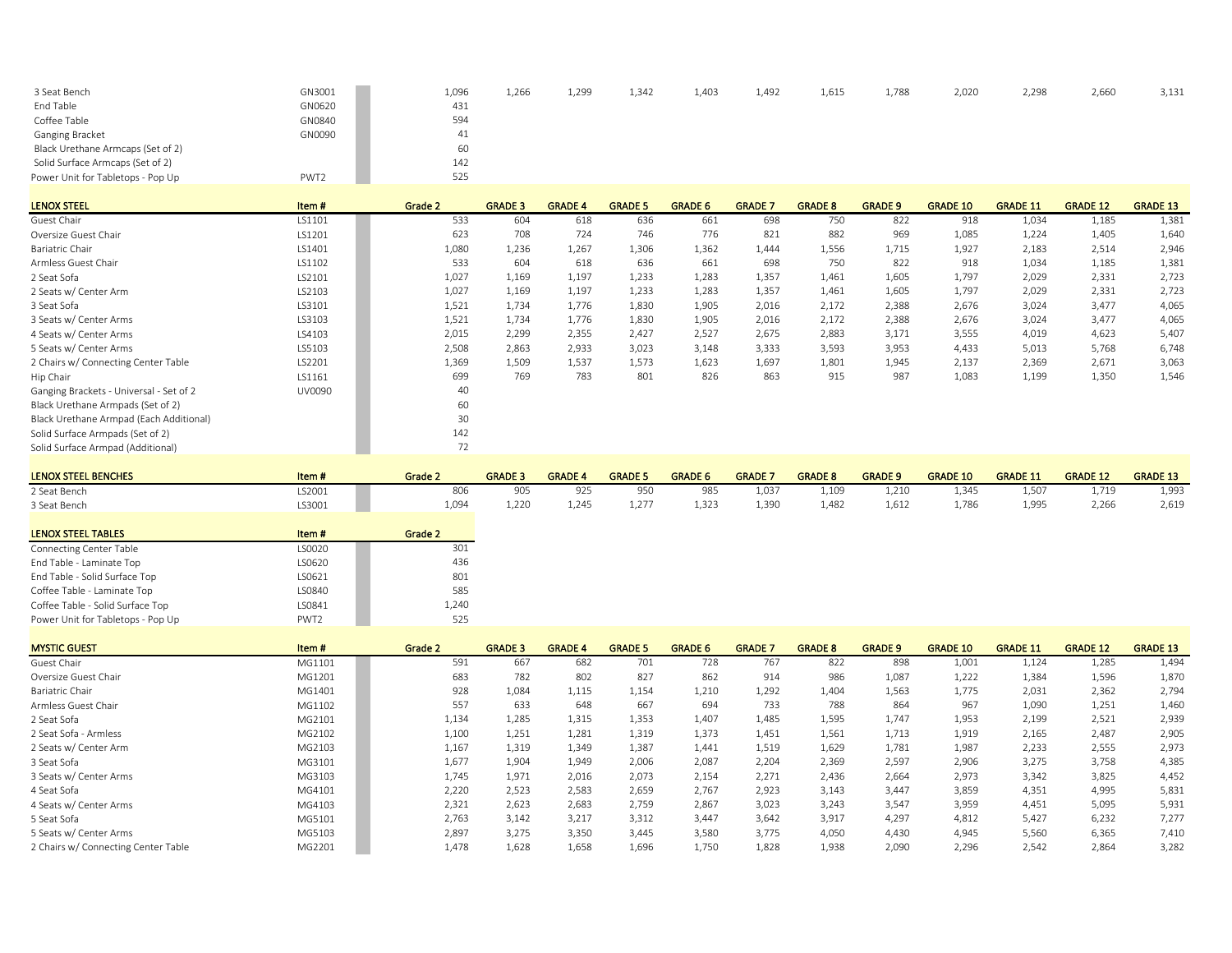| 3 Seat Bench                      | GN3001 | 1,096 | 1,266 | 1,299 | 1,342 | 1,403 | 1,492 | 1,615 | 1,788 | 2,020 | 2,298 | 2,660 | 3,131 |
|-----------------------------------|--------|-------|-------|-------|-------|-------|-------|-------|-------|-------|-------|-------|-------|
| End Table                         | GN0620 | 431   |       |       |       |       |       |       |       |       |       |       |       |
| Coffee Table                      | GN0840 | 594   |       |       |       |       |       |       |       |       |       |       |       |
| Ganging Bracket                   | GN0090 | 41    |       |       |       |       |       |       |       |       |       |       |       |
| Black Urethane Armcaps (Set of 2) |        | 60    |       |       |       |       |       |       |       |       |       |       |       |
| Solid Surface Armcaps (Set of 2)  |        | 142   |       |       |       |       |       |       |       |       |       |       |       |
| Power Unit for Tabletops - Pop Up | PWT2   | 525   |       |       |       |       |       |       |       |       |       |       |       |

| <b>LENOX STEEL</b>                      | Item#  | Grade 2 | <b>GRADE 3</b> | <b>GRADE 4</b> | <b>GRADE 5</b> | <b>GRADE 6</b> | <b>GRADE 7</b> | <b>GRADE 8</b> | <b>GRADE 9</b> | <b>GRADE 10</b> | <b>GRADE 11</b> | <b>GRADE 12</b> | <b>GRADE 13</b> |
|-----------------------------------------|--------|---------|----------------|----------------|----------------|----------------|----------------|----------------|----------------|-----------------|-----------------|-----------------|-----------------|
| Guest Chair                             | LS1101 | 533     | 604            | 618            | 636            | 661            | 698            | 750            | 822            | 918             | 1,034           | 1,185           | 1,381           |
| Oversize Guest Chair                    | LS1201 | 623     | 708            | 724            | 746            | 776            | 821            | 882            | 969            | 1,085           | 1,224           | 1,405           | 1,640           |
| Bariatric Chair                         | LS1401 | 1,080   | 1.236          | 1,267          | 1.306          | 1,362          | 1.444          | 1,556          | 1,715          | 1,927           | 2,183           | 2,514           | 2,946           |
| Armless Guest Chair                     | LS1102 | 533     | 604            | 618            | 636            | 661            | 698            | 750            | 822            | 918             | 1,034           | 1,185           | 1,381           |
| 2 Seat Sofa                             | LS2101 | 1,027   | 1,169          | 1,197          | 1,233          | 1,283          | 1,357          | 1,461          | 1,605          | 1,797           | 2,029           | 2,331           | 2,723           |
| 2 Seats w/ Center Arm                   | LS2103 | 1,027   | 1,169          | 1,197          | 1,233          | 1,283          | 1,357          | 1,461          | 1,605          | 1,797           | 2,029           | 2,331           | 2,723           |
| 3 Seat Sofa                             | LS3101 | 1,521   | 1,734          | 1,776          | 1,830          | 1,905          | 2,016          | 2,172          | 2,388          | 2,676           | 3,024           | 3,477           | 4,065           |
| 3 Seats w/ Center Arms                  | LS3103 | 1,521   | 1,734          | 1,776          | 1,830          | 1,905          | 2,016          | 2,172          | 2,388          | 2,676           | 3,024           | 3,477           | 4,065           |
| 4 Seats w/ Center Arms                  | LS4103 | 2,015   | 2,299          | 2,355          | 2,427          | 2,527          | 2,675          | 2,883          | 3,171          | 3,555           | 4,019           | 4,623           | 5,407           |
| 5 Seats w/ Center Arms                  | LS5103 | 2,508   | 2,863          | 2,933          | 3,023          | 3,148          | 3,333          | 3,593          | 3,953          | 4,433           | 5.013           | 5,768           | 6,748           |
| 2 Chairs w/ Connecting Center Table     | LS2201 | 1,369   | 1,509          | 1,537          | 1,573          | 1,623          | 1,697          | 1,801          | 1,945          | 2,137           | 2,369           | 2,671           | 3,063           |
| Hip Chair                               | LS1161 | 699     | 769            | 783            | 801            | 826            | 863            | 915            | 987            | 1,083           | 1,199           | 1,350           | 1,546           |
| Ganging Brackets - Universal - Set of 2 | UV0090 | 40      |                |                |                |                |                |                |                |                 |                 |                 |                 |
| Black Urethane Armpads (Set of 2)       |        | 60      |                |                |                |                |                |                |                |                 |                 |                 |                 |
| Black Urethane Armpad (Each Additional) |        | 30      |                |                |                |                |                |                |                |                 |                 |                 |                 |
| Solid Surface Armpads (Set of 2)        |        | 142     |                |                |                |                |                |                |                |                 |                 |                 |                 |
| Solid Surface Armpad (Additional)       |        | 72      |                |                |                |                |                |                |                |                 |                 |                 |                 |

| <b>LENOX STEEL BENCHES</b> | Item # | Grade 2 | <b>GRADE</b> | <b>GRADE</b> | <b>GRADE!</b> | <b>GRADE 6</b> | <b>GRADE</b> | <b>GRADE 8</b> | <b>GRADE 9</b> | <b>GRADE 10</b> | <b>GRADE 11</b> | <b>GRADE 12</b> | <b>GRADE 13</b> |
|----------------------------|--------|---------|--------------|--------------|---------------|----------------|--------------|----------------|----------------|-----------------|-----------------|-----------------|-----------------|
| 2 Seat Bench               | S2001  |         |              |              | 950           |                | 1.037        | .109ء          | 1,210          | 1.345           |                 | 1,719           | 1,993           |
| 3 Seat Bench               | LS3001 | 1.094   | 220          | 1.245        | 1.277         | 1.323          | 1.39C        | .482           | 1,612          | 1.786           | 1.995           | 2,266           | 2,619           |

| <b>LENOX STEEL TABLES</b>         | Item#            | Grade 2 |
|-----------------------------------|------------------|---------|
| <b>Connecting Center Table</b>    | LS0020           | 301     |
| End Table - Laminate Top          | LS0620           | 436     |
| End Table - Solid Surface Top     | LS0621           | 801     |
| Coffee Table - Laminate Top       | LS0840           | 585     |
| Coffee Table - Solid Surface Top  | LS0841           | 1,240   |
| Power Unit for Tabletops - Pop Up | PWT <sub>2</sub> | 525     |

| <b>MYSTIC GUEST</b>                 | Item#  | Grade 2 | <b>GRADE 3</b> | <b>GRADE 4</b> | <b>GRADE 5</b> | <b>GRADE 6</b> | <b>GRADE 7</b> | <b>GRADE 8</b> | <b>GRADE 9</b> | <b>GRADE 10</b> | <b>GRADE 11</b> | <b>GRADE 12</b> | <b>GRADE 13</b> |
|-------------------------------------|--------|---------|----------------|----------------|----------------|----------------|----------------|----------------|----------------|-----------------|-----------------|-----------------|-----------------|
| Guest Chair                         | MG1101 | 591     | 667            | 682            | 701            | 728            | 767            | 822            | 898            | 1,001           | 1,124           | 1,285           | 1,494           |
| Oversize Guest Chair                | MG1201 | 683     | 782            | 802            | 827            | 862            | 914            | 986            | 1,087          | 1,222           | 1,384           | 1,596           | 1,870           |
| Bariatric Chair                     | MG1401 | 928     | 1,084          | 1,115          | 1,154          | 1,210          | 1,292          | 1,404          | 1,563          | 1,775           | 2,031           | 2,362           | 2,794           |
| Armless Guest Chair                 | MG1102 | 557     | 633            | 648            | 667            | 694            | 733            | 788            | 864            | 967             | 1,090           | 1,251           | 1,460           |
| 2 Seat Sofa                         | MG2101 | 1,134   | 1,285          | 1,315          | 1.353          | 1.407          | 1.485          | 1,595          | 1,747          | 1,953           | 2.199           | 2,521           | 2,939           |
| 2 Seat Sofa - Armless               | MG2102 | 1,100   | 1,251          | 1,281          | 1,319          | 1,373          | 1,451          | 1,561          | 1,713          | 1,919           | 2,165           | 2,487           | 2,905           |
| 2 Seats w/ Center Arm               | MG2103 | 1,167   | 1,319          | 1,349          | 1,387          | 1,441          | 1,519          | 1,629          | 1,781          | 1,987           | 2,233           | 2,555           | 2,973           |
| 3 Seat Sofa                         | MG3101 | 1,677   | 1,904          | 1,949          | 2,006          | 2.087          | 2.204          | 2,369          | 2,597          | 2,906           | 3,275           | 3,758           | 4,385           |
| 3 Seats w/ Center Arms              | MG3103 | 1,745   | 1,971          | 2,016          | 2,073          | 2,154          | 2,271          | 2,436          | 2,664          | 2,973           | 3,342           | 3,825           | 4,452           |
| 4 Seat Sofa                         | MG4101 | 2,220   | 2,523          | 2,583          | 2,659          | 2.767          | 2.923          | 3,143          | 3,447          | 3,859           | 4.351           | 4,995           | 5,831           |
| 4 Seats w/ Center Arms              | MG4103 | 2.321   | 2,623          | 2,683          | 2,759          | 2.867          | 3.023          | 3,243          | 3,547          | 3,959           | 4.451           | 5,095           | 5,931           |
| 5 Seat Sofa                         | MG5101 | 2,763   | 3,142          | 3.217          | 3,312          | 3.447          | 3.642          | 3,917          | 4,297          | 4,812           | 5.427           | 6,232           | 7,277           |
| 5 Seats w/ Center Arms              | MG5103 | 2,897   | 3,275          | 3,350          | 3.445          | 3.580          | 3.775          | 4,050          | 4.430          | 4,945           | 5,560           | 6,365           | 7,410           |
| 2 Chairs w/ Connecting Center Table | MG2201 | 1,478   | 1,628          | 1,658          | 1,696          | 1,750          | 1,828          | 1,938          | 2,090          | 2,296           | 2,542           | 2,864           | 3,282           |
|                                     |        |         |                |                |                |                |                |                |                |                 |                 |                 |                 |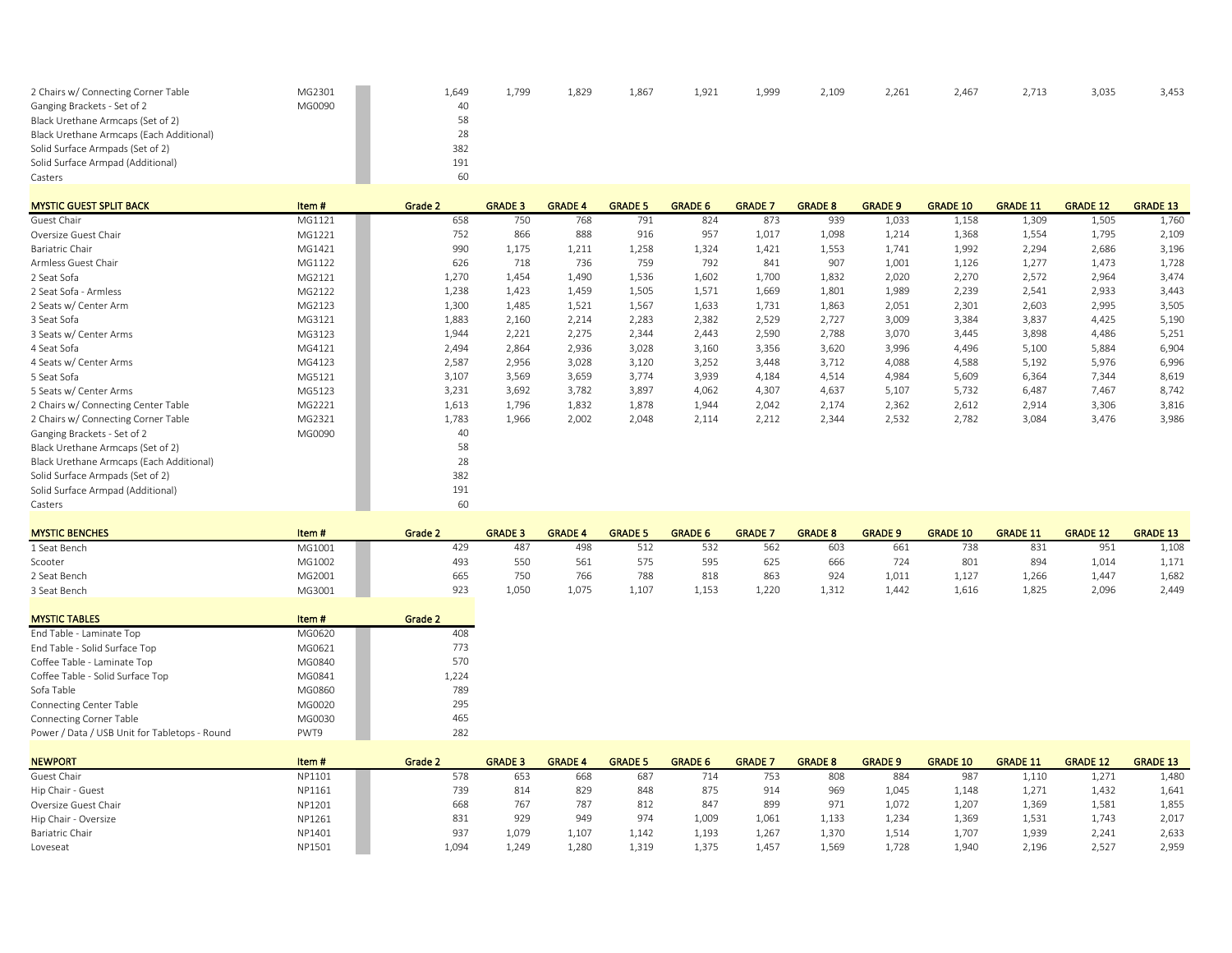| 2 Chairs w/ Connecting Corner Table      | MG2301 | 1,649 | 1.799 | 1,829 | 1,867 | 1,921 | 1,999 | 2,109 | 2,261 | 2,467 | 2,713 | 3,035 | 3,453 |
|------------------------------------------|--------|-------|-------|-------|-------|-------|-------|-------|-------|-------|-------|-------|-------|
| Ganging Brackets - Set of 2              | MG0090 | 40    |       |       |       |       |       |       |       |       |       |       |       |
| Black Urethane Armcaps (Set of 2)        |        | 58    |       |       |       |       |       |       |       |       |       |       |       |
| Black Urethane Armcaps (Each Additional) |        | 28    |       |       |       |       |       |       |       |       |       |       |       |
| Solid Surface Armpads (Set of 2)         |        | 382   |       |       |       |       |       |       |       |       |       |       |       |
| Solid Surface Armpad (Additional)        |        | 191   |       |       |       |       |       |       |       |       |       |       |       |
| Casters                                  |        | 60    |       |       |       |       |       |       |       |       |       |       |       |

| <b>MYSTIC GUEST SPLIT BACK</b>           | Item#  | Grade 2 | <b>GRADE 3</b> | <b>GRADE 4</b> | <b>GRADE 5</b> | <b>GRADE 6</b> | <b>GRADE 7</b> | <b>GRADE 8</b> | <b>GRADE 9</b> | <b>GRADE 10</b> | <b>GRADE 11</b> | <b>GRADE 12</b> | <b>GRADE 13</b> |
|------------------------------------------|--------|---------|----------------|----------------|----------------|----------------|----------------|----------------|----------------|-----------------|-----------------|-----------------|-----------------|
| Guest Chair                              | MG1121 | 658     | 750            | 768            | 791            | 824            | 873            | 939            | 1,033          | 1,158           | 1,309           | 1,505           | 1,760           |
| Oversize Guest Chair                     | MG1221 | 752     | 866            | 888            | 916            | 957            | 1,017          | 1,098          | 1,214          | 1,368           | 1,554           | 1,795           | 2,109           |
| Bariatric Chair                          | MG1421 | 990     | 1,175          | 1,211          | 1,258          | 1,324          | 1,421          | 1,553          | 1,741          | 1,992           | 2,294           | 2,686           | 3,196           |
| Armless Guest Chair                      | MG1122 | 626     | 718            | 736            | 759            | 792            | 841            | 907            | 1,001          | 1,126           | 1,277           | 1,473           | 1,728           |
| 2 Seat Sofa                              | MG2121 | 1,270   | 1,454          | 1,490          | 1,536          | 1,602          | 1,700          | 1,832          | 2,020          | 2,270           | 2,572           | 2,964           | 3,474           |
| 2 Seat Sofa - Armless                    | MG2122 | 1,238   | 1,423          | 1,459          | 1,505          | 1,571          | 1,669          | 1,801          | 1,989          | 2,239           | 2,541           | 2,933           | 3,443           |
| 2 Seats w/ Center Arm                    | MG2123 | 1,300   | 1,485          | 1,521          | 1,567          | 1,633          | 1,731          | 1,863          | 2,051          | 2,301           | 2,603           | 2,995           | 3,505           |
| 3 Seat Sofa                              | MG3121 | 1,883   | 2,160          | 2,214          | 2,283          | 2,382          | 2,529          | 2,727          | 3,009          | 3,384           | 3.837           | 4,425           | 5,190           |
| 3 Seats w/ Center Arms                   | MG3123 | 1,944   | 2,221          | 2,275          | 2,344          | 2,443          | 2,590          | 2,788          | 3,070          | 3,445           | 3,898           | 4,486           | 5,251           |
| 4 Seat Sofa                              | MG4121 | 2,494   | 2,864          | 2,936          | 3,028          | 3,160          | 3,356          | 3,620          | 3,996          | 4,496           | 5,100           | 5,884           | 6,904           |
| 4 Seats w/ Center Arms                   | MG4123 | 2,587   | 2,956          | 3,028          | 3,120          | 3,252          | 3,448          | 3,712          | 4,088          | 4,588           | 5,192           | 5,976           | 6,996           |
| 5 Seat Sofa                              | MG5121 | 3,107   | 3,569          | 3,659          | 3,774          | 3,939          | 4,184          | 4,514          | 4,984          | 5,609           | 6,364           | 7,344           | 8,619           |
| 5 Seats w/ Center Arms                   | MG5123 | 3,231   | 3,692          | 3,782          | 3,897          | 4,062          | 4,307          | 4,637          | 5,107          | 5,732           | 6,487           | 7,467           | 8,742           |
| 2 Chairs w/ Connecting Center Table      | MG2221 | 1,613   | 1,796          | 1,832          | 1,878          | 1,944          | 2,042          | 2,174          | 2,362          | 2,612           | 2,914           | 3,306           | 3,816           |
| 2 Chairs w/ Connecting Corner Table      | MG2321 | 1,783   | 1,966          | 2,002          | 2,048          | 2,114          | 2,212          | 2,344          | 2,532          | 2,782           | 3,084           | 3,476           | 3,986           |
| Ganging Brackets - Set of 2              | MG0090 | 40      |                |                |                |                |                |                |                |                 |                 |                 |                 |
| Black Urethane Armcaps (Set of 2)        |        | 58      |                |                |                |                |                |                |                |                 |                 |                 |                 |
| Black Urethane Armcaps (Each Additional) |        | 28      |                |                |                |                |                |                |                |                 |                 |                 |                 |
| Solid Surface Armpads (Set of 2)         |        | 382     |                |                |                |                |                |                |                |                 |                 |                 |                 |
| Solid Surface Armpad (Additional)        |        | 191     |                |                |                |                |                |                |                |                 |                 |                 |                 |
| Casters                                  |        | 60      |                |                |                |                |                |                |                |                 |                 |                 |                 |

| <b>MYSTIC BENCHES</b> | Item#  | Grade 2 | <b>GRADE 3</b> | <b>GRADE 4</b> | <b>GRADE 5</b> | <b>GRADE 6</b> | <b>GRADE</b> | <b>GRADE 8</b> | <b>GRADE 9</b> | <b>GRADE 10</b> | <b>GRADE 11</b> | <b>GRADE 12</b> | <b>GRADE 13</b> |
|-----------------------|--------|---------|----------------|----------------|----------------|----------------|--------------|----------------|----------------|-----------------|-----------------|-----------------|-----------------|
| 1 Seat Bench          | MG1001 | 429     | 48             | 498            | 512            | 532            | 562          | 603            | 661            | 738             | 831             | 951             | 1,108           |
| Scooter               | MG1002 | 493     | 550            | 561            |                | 595            | 625          | 666            | 724            | 801             | 894             | 1.014           | 1,171           |
| 2 Seat Bench          | MG2001 | 665     | 750            | 766            | 788            | 818            | 863          | 924            | 1,011          | $1,12^{-}$      | .,266           | 1,447           | 1,682           |
| 3 Seat Bench          | MG3001 | 923     | 1.050          | 1.075          | 1,107          | 1.153          | 1,220        | 1,312          | 1.442          | 1,616           | 1,825           | 2,096           | 2.449           |

| <b>MYSTIC TABLES</b>                          | Item#  | Grade 2 |
|-----------------------------------------------|--------|---------|
| End Table - Laminate Top                      | MG0620 | 408     |
| End Table - Solid Surface Top                 | MG0621 | 773     |
| Coffee Table - Laminate Top                   | MG0840 | 570     |
| Coffee Table - Solid Surface Top              | MG0841 | 1,224   |
| Sofa Table                                    | MG0860 | 789     |
| <b>Connecting Center Table</b>                | MG0020 | 295     |
| <b>Connecting Corner Table</b>                | MG0030 | 465     |
| Power / Data / USB Unit for Tabletops - Round | PWT9   | 282     |

| <b>NEWPORT</b>       | Item#  | Grade 2 | <b>GRADE 3</b> | <b>GRADE 4</b> | <b>GRADE 5</b> | <b>GRADE 6</b> | <b>GRADE</b> / | <b>GRADE 8</b> | <b>GRADE 9</b> | <b>GRADE 10</b> | <b>GRADE 11</b> | <b>GRADE 12</b> | <b>GRADE 13</b> |
|----------------------|--------|---------|----------------|----------------|----------------|----------------|----------------|----------------|----------------|-----------------|-----------------|-----------------|-----------------|
| Guest Chair          | NP1101 | 578     | 653            | 668            | 68             | 714            | 753            | 808            | 884            | 98              | 1,110           | 1,271           | 1,480           |
| Hip Chair - Guest    | NP1161 | 739     | 814            | 829            | 848            | 875            | 914            | 969            | 1,045          | 1,148           | 1,271           | 1,432           | 1,641           |
| Oversize Guest Chair | NP1201 | 668     | 767            | 787            | 812            | 847            | 899            | 971            | 1.072          | 1,207           | 1.369           | 1,581           | 1,855           |
| Hip Chair - Oversize | NP1261 | 831     | 929            | 949            | 974            | 1,009          | 1,061          | 1,133          | 1,234          | 1,369           | 1,531           | 1,743           | 2,017           |
| Bariatric Chair      | NP1401 | 937     | 1,079          | 1,107          | 1,142          | 1,193          | 1,267          | 1,370          | 1,514          | 1,707           | 1,939           | 2,241           | 2,633           |
| Loveseat             | NP1501 | 1,094   | 1,249          | 1,280          | 1,319          | 1,375          | 1,457          | 1,569          | 1,728          | 1,940           | 2,196           | 2,527           | 2,959           |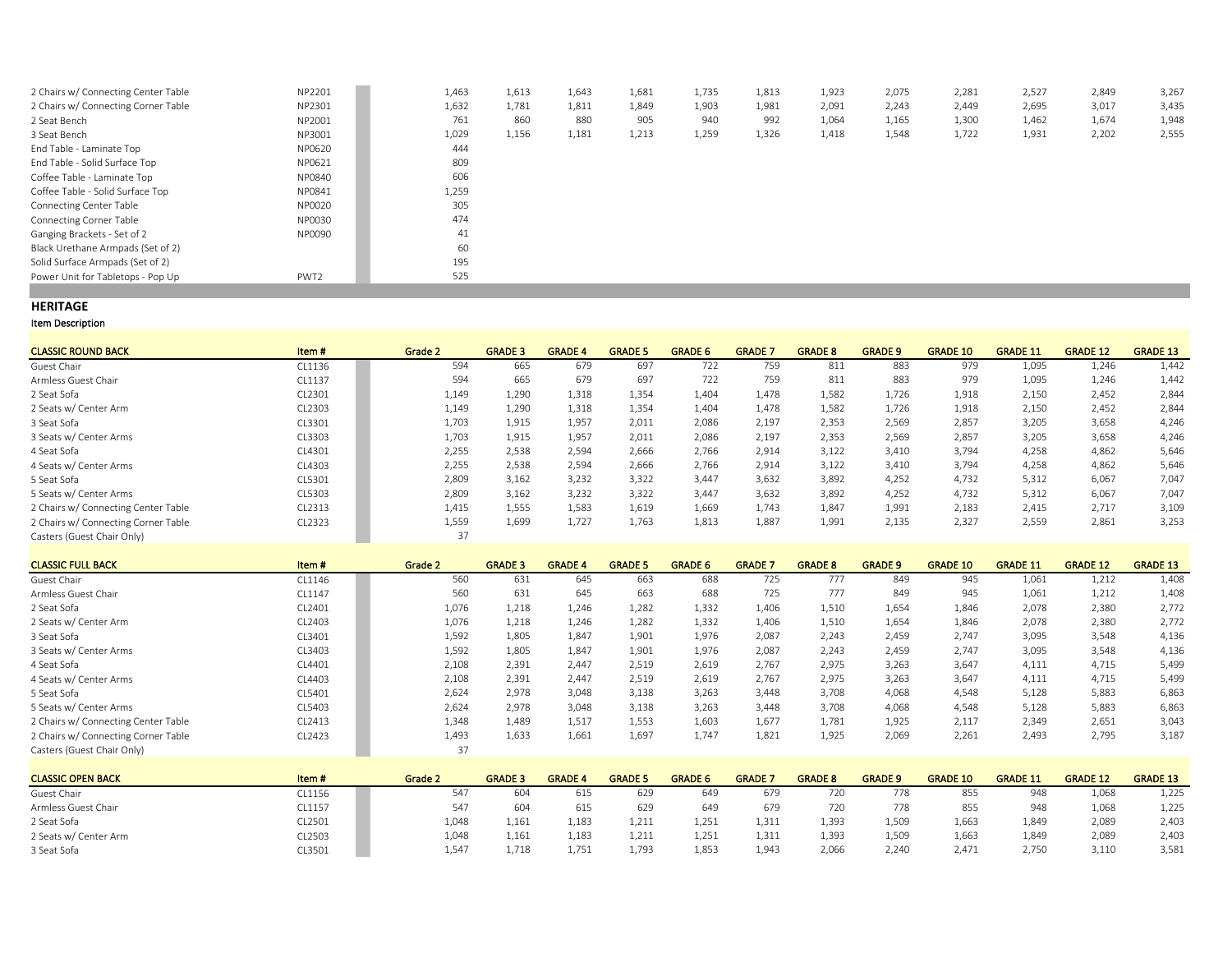| 2 Chairs w/ Connecting Center Table | NP2201 | 1,463 | 1,613 | 1,643 | 1,681 | 1,735 | 1,813 | 1,923 | 2,075 | 2,281 | 2,527 | 2,849 | 3,267 |
|-------------------------------------|--------|-------|-------|-------|-------|-------|-------|-------|-------|-------|-------|-------|-------|
| 2 Chairs w/ Connecting Corner Table | NP2301 | 1,632 | 1,781 | 1,811 | 1,849 | 1,903 | 1,981 | 2,091 | 2,243 | 2,449 | 2,695 | 3,017 | 3,435 |
| 2 Seat Bench                        | NP2001 | 761   | 860   | 880   | 905   | 940   | 992   | 1,064 | 1,165 | 1,300 | 1,462 | 1,674 | 1,948 |
| 3 Seat Bench                        | NP3001 | 1,029 | 1,156 | 1,181 | 1,213 | 1,259 | 1,326 | 1,418 | 1,548 | 1,722 | 1,931 | 2,202 | 2,555 |
| End Table - Laminate Top            | NP0620 | 444   |       |       |       |       |       |       |       |       |       |       |       |
| End Table - Solid Surface Top       | NP0621 | 809   |       |       |       |       |       |       |       |       |       |       |       |
| Coffee Table - Laminate Top         | NP0840 | 606   |       |       |       |       |       |       |       |       |       |       |       |
| Coffee Table - Solid Surface Top    | NP0841 | 1,259 |       |       |       |       |       |       |       |       |       |       |       |
| Connecting Center Table             | NP0020 | 305   |       |       |       |       |       |       |       |       |       |       |       |
| <b>Connecting Corner Table</b>      | NP0030 | 474   |       |       |       |       |       |       |       |       |       |       |       |
| Ganging Brackets - Set of 2         | NP0090 | 41    |       |       |       |       |       |       |       |       |       |       |       |
| Black Urethane Armpads (Set of 2)   |        | 60    |       |       |       |       |       |       |       |       |       |       |       |
| Solid Surface Armpads (Set of 2)    |        | 195   |       |       |       |       |       |       |       |       |       |       |       |
| Power Unit for Tabletops - Pop Up   | PWT2   | 525   |       |       |       |       |       |       |       |       |       |       |       |
|                                     |        |       |       |       |       |       |       |       |       |       |       |       |       |

#### **HERITAGE**

| <b>CLASSIC ROUND BACK</b>           | Item#  | Grade 2 | <b>GRADE 3</b> | <b>GRADE 4</b> | <b>GRADE 5</b> | <b>GRADE 6</b> | <b>GRADE 7</b> | <b>GRADE 8</b> | <b>GRADE 9</b> | <b>GRADE 10</b> | <b>GRADE 11</b> | <b>GRADE 12</b> | <b>GRADE 13</b> |
|-------------------------------------|--------|---------|----------------|----------------|----------------|----------------|----------------|----------------|----------------|-----------------|-----------------|-----------------|-----------------|
| Guest Chair                         | CL1136 | 594     | 665            | 679            | 697            | 722            | 759            | 811            | 883            | 979             | 1.095           | 1.246           | 1,442           |
| Armless Guest Chair                 | CL1137 | 594     | 665            | 679            | 697            | 722            | 759            | 811            | 883            | 979             | 1,095           | 1,246           | 1,442           |
| 2 Seat Sofa                         | CL2301 | 1,149   | 1,290          | 1,318          | 1,354          | 1,404          | 1,478          | 1,582          | 1,726          | 1,918           | 2,150           | 2.452           | 2,844           |
| 2 Seats w/ Center Arm               | CL2303 | 1,149   | 1,290          | 1,318          | 1,354          | 1,404          | 1,478          | 1,582          | 1,726          | 1,918           | 2,150           | 2,452           | 2,844           |
| 3 Seat Sofa                         | CL3301 | 1,703   | 1,915          | 1,957          | 2,011          | 2,086          | 2,197          | 2,353          | 2,569          | 2,857           | 3,205           | 3,658           | 4,246           |
| 3 Seats w/ Center Arms              | CL3303 | 1,703   | 1.915          | 1.957          | 2,011          | 2,086          | 2,197          | 2,353          | 2,569          | 2,857           | 3,205           | 3,658           | 4,246           |
| 4 Seat Sofa                         | CL4301 | 2,255   | 2,538          | 2,594          | 2,666          | 2,766          | 2,914          | 3,122          | 3,410          | 3,794           | 4,258           | 4,862           | 5,646           |
| 4 Seats w/ Center Arms              | CL4303 | 2,255   | 2,538          | 2,594          | 2,666          | 2,766          | 2,914          | 3,122          | 3,410          | 3,794           | 4,258           | 4,862           | 5,646           |
| 5 Seat Sofa                         | CL5301 | 2,809   | 3,162          | 3,232          | 3,322          | 3.447          | 3,632          | 3,892          | 4,252          | 4,732           | 5,312           | 6,067           | 7,047           |
| 5 Seats w/ Center Arms              | CL5303 | 2,809   | 3,162          | 3,232          | 3,322          | 3.447          | 3,632          | 3,892          | 4,252          | 4,732           | 5,312           | 6,067           | 7,047           |
| 2 Chairs w/ Connecting Center Table | CL2313 | 1,415   | 1.555          | 1,583          | 1,619          | 1.669          | 1.743          | 1.847          | 1,991          | 2,183           | 2,415           | 2.717           | 3,109           |
| 2 Chairs w/ Connecting Corner Table | CL2323 | 1,559   | 1,699          | 1,727          | 1,763          | 1,813          | 1,887          | 1,991          | 2,135          | 2,327           | 2,559           | 2,861           | 3,253           |
| Casters (Guest Chair Only)          |        | 37      |                |                |                |                |                |                |                |                 |                 |                 |                 |

| <b>CLASSIC FULL BACK</b>            | Item#  | Grade 2 | <b>GRADE 3</b> | <b>GRADE 4</b> | <b>GRADE 5</b> | <b>GRADE 6</b> | <b>GRADE 7</b> | <b>GRADE 8</b> | <b>GRADE 9</b> | <b>GRADE 10</b> | <b>GRADE 11</b> | <b>GRADE 12</b> | <b>GRADE 13</b> |
|-------------------------------------|--------|---------|----------------|----------------|----------------|----------------|----------------|----------------|----------------|-----------------|-----------------|-----------------|-----------------|
| Guest Chair                         | CL1146 | 560     | 631            | 645            | 663            | 688            | 725            | 777            | 849            | 945             | 1.061           | 1,212           | 1,408           |
| Armless Guest Chair                 | CL1147 | 560     | 631            | 645            | 663            | 688            | 725            | 777            | 849            | 945             | 1,061           | 1,212           | 1,408           |
| 2 Seat Sofa                         | CL2401 | 1,076   | 1,218          | 1.246          | 1,282          | 1,332          | 1.406          | 1,510          | 1,654          | 1,846           | 2.078           | 2.380           | 2,772           |
| 2 Seats w/ Center Arm               | CL2403 | 1,076   | 1,218          | 1,246          | 1,282          | 1,332          | 1.406          | 1,510          | 1,654          | 1,846           | 2,078           | 2,380           | 2,772           |
| 3 Seat Sofa                         | CL3401 | 1,592   | 1,805          | 1,847          | 1,901          | 1,976          | 2,087          | 2,243          | 2,459          | 2,747           | 3,095           | 3,548           | 4,136           |
| 3 Seats w/ Center Arms              | CL3403 | 1,592   | 1,805          | 1.847          | 1,901          | 1.976          | 2.087          | 2,243          | 2,459          | 2,747           | 3,095           | 3,548           | 4,136           |
| 4 Seat Sofa                         | CL4401 | 2,108   | 2.391          | 2.447          | 2,519          | 2.619          | 2.767          | 2,975          | 3,263          | 3,647           | 4,111           | 4,715           | 5,499           |
| 4 Seats w/ Center Arms              | CL4403 | 2,108   | 2,391          | 2.447          | 2,519          | 2,619          | 2,767          | 2,975          | 3,263          | 3,647           | 4,111           | 4,715           | 5,499           |
| 5 Seat Sofa                         | CL5401 | 2,624   | 2.978          | 3,048          | 3,138          | 3,263          | 3,448          | 3,708          | 4,068          | 4,548           | 5,128           | 5,883           | 6,863           |
| 5 Seats w/ Center Arms              | CL5403 | 2.624   | 2.978          | 3.048          | 3,138          | 3,263          | 3.448          | 3.708          | 4,068          | 4,548           | 5.128           | 5.883           | 6,863           |
| 2 Chairs w/ Connecting Center Table | CL2413 | 1,348   | 1.489          | 1,517          | 1,553          | 1,603          | 1,677          | 1,781          | 1,925          | 2,117           | 2,349           | 2,651           | 3,043           |
| 2 Chairs w/ Connecting Corner Table | CL2423 | 1,493   | 1,633          | 1,661          | 1,697          | 1,747          | 1,821          | 1,925          | 2,069          | 2,261           | 2,493           | 2,795           | 3,187           |
| Casters (Guest Chair Only)          |        |         |                |                |                |                |                |                |                |                 |                 |                 |                 |

| <b>CLASSIC OPEN BACK</b> | Item#  | Grade 2 | <b>GRADE 3</b> | <b>GRADE 4</b> | <b>GRADE 5</b> | <b>GRADE 6</b> | <b>GRADE</b> | <b>GRADE 8</b> | <b>GRADE 9</b> | <b>GRADE 10</b> | <b>GRADE 11</b> | <b>GRADE 12</b> | <b>GRADE 13</b> |
|--------------------------|--------|---------|----------------|----------------|----------------|----------------|--------------|----------------|----------------|-----------------|-----------------|-----------------|-----------------|
| Guest Chair              | CL1156 |         | 604            | 615            | 629            | 649            | 679          | 720            | 778            | 855             | 948             | 1,068           | 1,225           |
| Armless Guest Chair      | CL1157 | 547     | 604            | 615            | 629            | 649            | 679          | 720            | 778            | 855             | 948             | 1,068           | 1,225           |
| 2 Seat Sofa              | CL2501 | 1.048   | 1.161          | 1.183          | 1,211          | 1.251          | 1,311        | 1.393          | 1,509          | 1,663           | 1.849           | 2.089           | 2,403           |
| 2 Seats w/ Center Arm    | CL2503 | 1.048   | 1.161          | 1.183          | 1,211          | 1.251          | 1,311        | 1.393          | 1,509          | 1,663           | 1.84°           | 2,089           | 2,403           |
| 3 Seat Sofa              | CL3501 | 1.547   | 1.718          | 1,751          | 1.793          | 1.853          | 1,943        | 2.066          | 2,240          | 2,471           | 2.750           | 3,110           | 3,581           |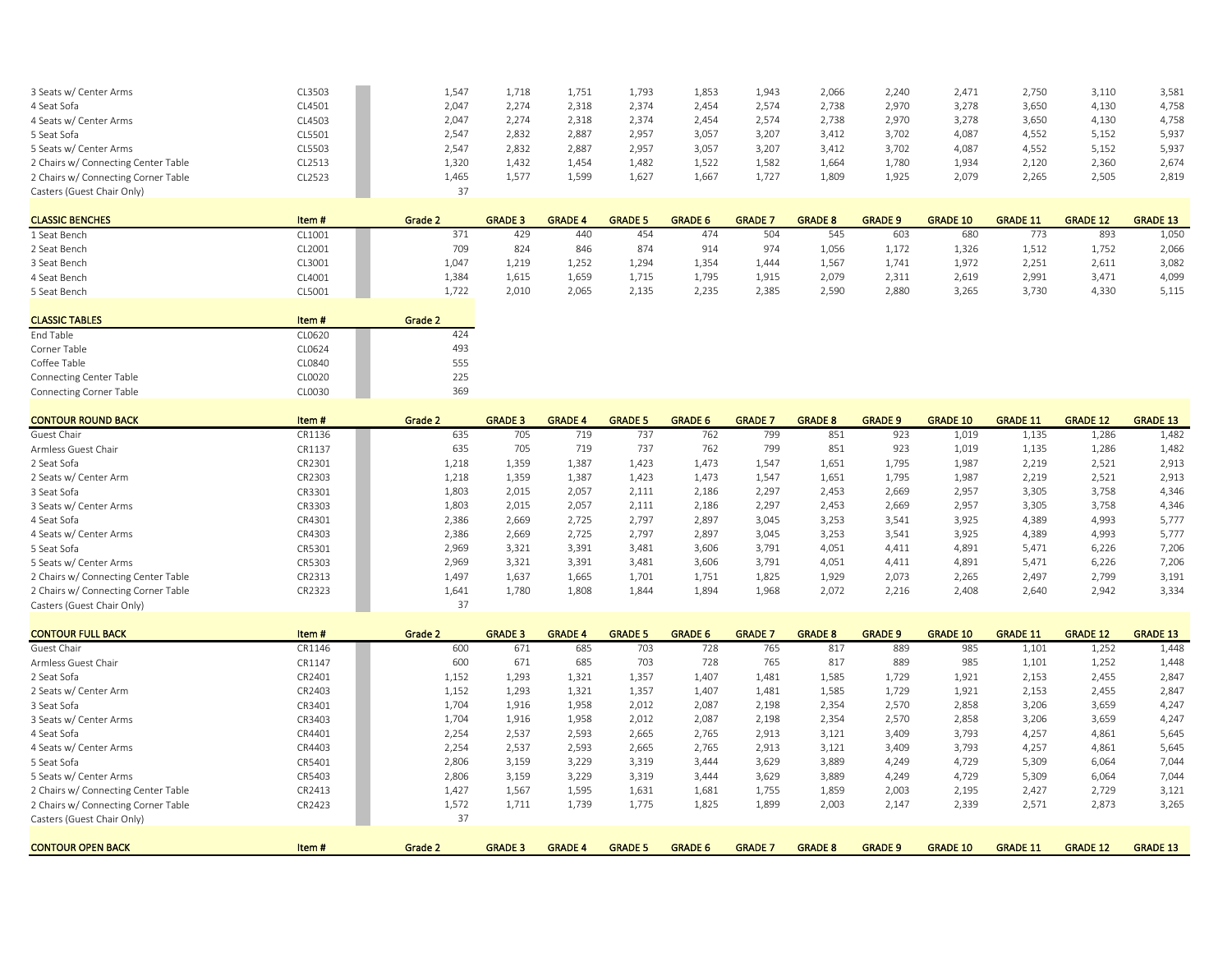| 3 Seats w/ Center Arms              | CL3503 | 1,547 | 1.718 | 1,751 | 1,793 | 1,853 | 1,943 | 2,066 | 2,240 | 2,471 | 2.750 | 3,110 | 3,581 |
|-------------------------------------|--------|-------|-------|-------|-------|-------|-------|-------|-------|-------|-------|-------|-------|
| 4 Seat Sofa                         | CL4501 | 2,047 | 2,274 | 2,318 | 2,374 | 2,454 | 2,574 | 2,738 | 2,970 | 3,278 | 3,650 | 4,130 | 4,758 |
| 4 Seats w/ Center Arms              | CL4503 | 2,047 | 2,274 | 2,318 | 2.374 | 2,454 | 2,574 | 2,738 | 2,970 | 3,278 | 3,650 | 4,130 | 4,758 |
| 5 Seat Sofa                         | CL5501 | 2,547 | 2.832 | 2,887 | 2,957 | 3,057 | 3,207 | 3,412 | 3,702 | 4,087 | 4,552 | 5,152 | 5,937 |
| 5 Seats w/ Center Arms              | CL5503 | 2,547 | 2,832 | 2,887 | 2,957 | 3,057 | 3,207 | 3,412 | 3,702 | 4,087 | 4,552 | 5,152 | 5,937 |
| 2 Chairs w/ Connecting Center Table | CL2513 | 1,320 | 1,432 | 1,454 | 1,482 | 1,522 | 1,582 | 1,664 | 1,780 | 1,934 | 2,120 | 2,360 | 2,674 |
| 2 Chairs w/ Connecting Corner Table | CL2523 | 1,465 | 1,577 | 1,599 | 1,627 | 1,667 | 1,727 | 1,809 | 1,925 | 2,079 | 2.265 | 2,505 | 2,819 |
| Casters (Guest Chair Only)          |        |       |       |       |       |       |       |       |       |       |       |       |       |
|                                     |        |       |       |       |       |       |       |       |       |       |       |       |       |

| <b>CLASSIC BENCHES</b> | Item#  | Grade 2 | <b>GRADE 3</b> | <b>GRADE 4</b> | <b>GRADE 5</b> | <b>GRADE 6</b> | <b>GRADE</b> . | <b>GRADE 8</b> | <b>GRADE 9</b> | <b>GRADE 10</b> | <b>GRADE 11</b> | <b>GRADE 12</b> | <b>GRADE 13</b> |
|------------------------|--------|---------|----------------|----------------|----------------|----------------|----------------|----------------|----------------|-----------------|-----------------|-----------------|-----------------|
| L Seat Bench           | CL1001 |         | 429            | 440            | 454            | 474            | 504            | 545            | 603            | 68C             | 773             | 893             | 1,050           |
| 2 Seat Bench           | CL2001 | 709     | 824            | 846            | 874            | 914            | 974            | 1,056          | 1,172          | 1,326           | 1,512           | 1,752           | 2,066           |
| 3 Seat Bench           | CL3001 | 1,047   | 1,219          | 1,252          | 1,294          | 1,354          | 1,440          | 1,567          | 1,741          | 1,977           | 2,251           | 2,611           | 3,082           |
| 4 Seat Bench           | CL4001 | 1,384   | 1.615          | 1,659          | 1,715          | 1,795          | 1,915          | 2.079          | 2,311          | 2,619           | 2.991           | 3.471           | 4,099           |
| 5 Seat Bench           | CL5001 | 1,722   | 2,010          | 2.065          | 2,135          | 2,235          | 2,385          | 2,590          | 2,880          | 3,265           | 3.730           | 4,330           | 5,115           |

|                                |        | - - -   |
|--------------------------------|--------|---------|
|                                |        |         |
| <b>CLASSIC TABLES</b>          | Item#  | Grade 2 |
| End Table                      | CL0620 | 424     |
| Corner Table                   | CL0624 | 493     |
| Coffee Table                   | CL0840 | 555     |
| <b>Connecting Center Table</b> | CL0020 | 225     |
| <b>Connecting Corner Table</b> | CL0030 | 369     |

| <b>CONTOUR ROUND BACK</b>           | Item#  | Grade 2 | <b>GRADE 3</b> | <b>GRADE 4</b> | <b>GRADE 5</b> | <b>GRADE 6</b> | <b>GRADE 7</b> | <b>GRADE 8</b> | <b>GRADE 9</b> | <b>GRADE 10</b> | <b>GRADE 11</b> | <b>GRADE 12</b> | <b>GRADE 13</b> |
|-------------------------------------|--------|---------|----------------|----------------|----------------|----------------|----------------|----------------|----------------|-----------------|-----------------|-----------------|-----------------|
| Guest Chair                         | CR1136 | 635     | 705            | 719            | 737            | 762            | 799            | 851            | 923            | 1,019           | 1,135           | 1,286           | 1,482           |
| Armless Guest Chair                 | CR1137 | 635     | 705            | 719            | 737            | 762            | 799            | 851            | 923            | 1,019           | 1,135           | 1,286           | 1,482           |
| 2 Seat Sofa                         | CR2301 | 1,218   | 1,359          | 1,387          | 1.423          | 1,473          | 1,547          | 1,651          | 1,795          | 1,987           | 2,219           | 2,521           | 2,913           |
| 2 Seats w/ Center Arm               | CR2303 | 1,218   | 1,359          | 1,387          | 1,423          | 1,473          | 1,547          | 1,651          | 1,795          | 1,987           | 2,219           | 2,521           | 2,913           |
| 3 Seat Sofa                         | CR3301 | 1,803   | 2,015          | 2.057          | 2,111          | 2,186          | 2.297          | 2,453          | 2,669          | 2,957           | 3,305           | 3,758           | 4,346           |
| 3 Seats w/ Center Arms              | CR3303 | 1,803   | 2,015          | 2.057          | 2,111          | 2,186          | 2,297          | 2,453          | 2,669          | 2,957           | 3,305           | 3,758           | 4,346           |
| 4 Seat Sofa                         | CR4301 | 2.386   | 2.669          | 2.725          | 2.797          | 2.897          | 3.045          | 3,253          | 3.541          | 3,925           | 4,389           | 4,993           | 5,777           |
| 4 Seats w/ Center Arms              | CR4303 | 2,386   | 2,669          | 2,725          | 2.797          | 2,897          | 3,045          | 3,253          | 3.541          | 3,925           | 4,389           | 4,993           | 5,777           |
| 5 Seat Sofa                         | CR5301 | 2,969   | 3,321          | 3,391          | 3,481          | 3,606          | 3,791          | 4.051          | 4,411          | 4,891           | 5.471           | 6,226           | 7,206           |
| 5 Seats w/ Center Arms              | CR5303 | 2,969   | 3,321          | 3,391          | 3,481          | 3,606          | 3,791          | 4,051          | 4,411          | 4,891           | 5,471           | 6,226           | 7,206           |
| 2 Chairs w/ Connecting Center Table | CR2313 | 1.497   | 1.637          | 1,665          | 1.701          | 1,751          | 1.825          | 1,929          | 2.073          | 2,265           | 2,497           | 2.799           | 3,191           |
| 2 Chairs w/ Connecting Corner Table | CR2323 | 1.641   | 1.780          | 1,808          | 1.844          | 1,894          | 1,968          | 2,072          | 2,216          | 2,408           | 2,640           | 2,942           | 3,334           |
| Casters (Guest Chair Only)          |        | 37      |                |                |                |                |                |                |                |                 |                 |                 |                 |
|                                     |        |         |                |                |                |                |                |                |                |                 |                 |                 |                 |

| <b>CONTOUR FULL BACK</b>            | Item#  | Grade 2 | <b>GRADE 3</b> | <b>GRADE 4</b> | <b>GRADE 5</b> | <b>GRADE 6</b> | <b>GRADE</b> 7 | <b>GRADE 8</b> | <b>GRADE 9</b> | <b>GRADE 10</b> | <b>GRADE 11</b> | <b>GRADE 12</b> | <b>GRADE 13</b> |
|-------------------------------------|--------|---------|----------------|----------------|----------------|----------------|----------------|----------------|----------------|-----------------|-----------------|-----------------|-----------------|
| Guest Chair                         | CR1146 | 600     | 671            | 685            | 703            | 728            | 765            | 817            | 889            | 985             | 1,101           | 1,252           | 1,448           |
| Armless Guest Chair                 | CR1147 | 600     | 671            | 685            | 703            | 728            | 765            | 817            | 889            | 985             | 1,101           | 1,252           | 1,448           |
| 2 Seat Sofa                         | CR2401 | 1,152   | 1,293          | 1,321          | 1,357          | 1,407          | 1,481          | 1,585          | 1,729          | 1,921           | 2,153           | 2,455           | 2,847           |
| 2 Seats w/ Center Arm               | CR2403 | 1,152   | 1,293          | 1,321          | 1,357          | 1,407          | 1,481          | 1,585          | 1,729          | 1,921           | 2,153           | 2,455           | 2,847           |
| 3 Seat Sofa                         | CR3401 | 1,704   | 1,916          | 1,958          | 2,012          | 2,087          | 2,198          | 2,354          | 2,570          | 2,858           | 3,206           | 3,659           | 4,247           |
| 3 Seats w/ Center Arms              | CR3403 | 1,704   | 1,916          | 1,958          | 2,012          | 2,087          | 2,198          | 2,354          | 2,570          | 2,858           | 3,206           | 3,659           | 4,247           |
| 4 Seat Sofa                         | CR4401 | 2,254   | 2,537          | 2,593          | 2,665          | 2,765          | 2,913          | 3,121          | 3,409          | 3,793           | 4,257           | 4,861           | 5,645           |
| 4 Seats w/ Center Arms              | CR4403 | 2,254   | 2,537          | 2,593          | 2,665          | 2,765          | 2,913          | 3,121          | 3,409          | 3,793           | 4,257           | 4,861           | 5,645           |
| 5 Seat Sofa                         | CR5401 | 2,806   | 3,159          | 3,229          | 3,319          | 3.444          | 3,629          | 3,889          | 4,249          | 4,729           | 5,309           | 6,064           | 7,044           |
| 5 Seats w/ Center Arms              | CR5403 | 2,806   | 3,159          | 3,229          | 3,319          | 3.444          | 3,629          | 3,889          | 4,249          | 4,729           | 5,309           | 6,064           | 7,044           |
| 2 Chairs w/ Connecting Center Table | CR2413 | 1,427   | 1.567          | 1,595          | 1,631          | 1,681          | 1,755          | 1,859          | 2,003          | 2,195           | 2.427           | 2,729           | 3,121           |
| 2 Chairs w/ Connecting Corner Table | CR2423 | 1,572   | 1,711          | 1,739          | 1,775          | 1,825          | 1,899          | 2,003          | 2,147          | 2,339           | 2,571           | 2,873           | 3,265           |
| Casters (Guest Chair Only)          |        | 37      |                |                |                |                |                |                |                |                 |                 |                 |                 |
|                                     |        |         |                |                |                |                |                |                |                |                 |                 |                 |                 |
| <b>CONTOUR OPEN BACK</b>            | Item#  | Grade 2 | <b>GRADE 3</b> | <b>GRADE 4</b> | <b>GRADE 5</b> | <b>GRADE 6</b> | <b>GRADE 7</b> | <b>GRADE 8</b> | <b>GRADE 9</b> | <b>GRADE 10</b> | <b>GRADE 11</b> | <b>GRADE 12</b> | <b>GRADE 13</b> |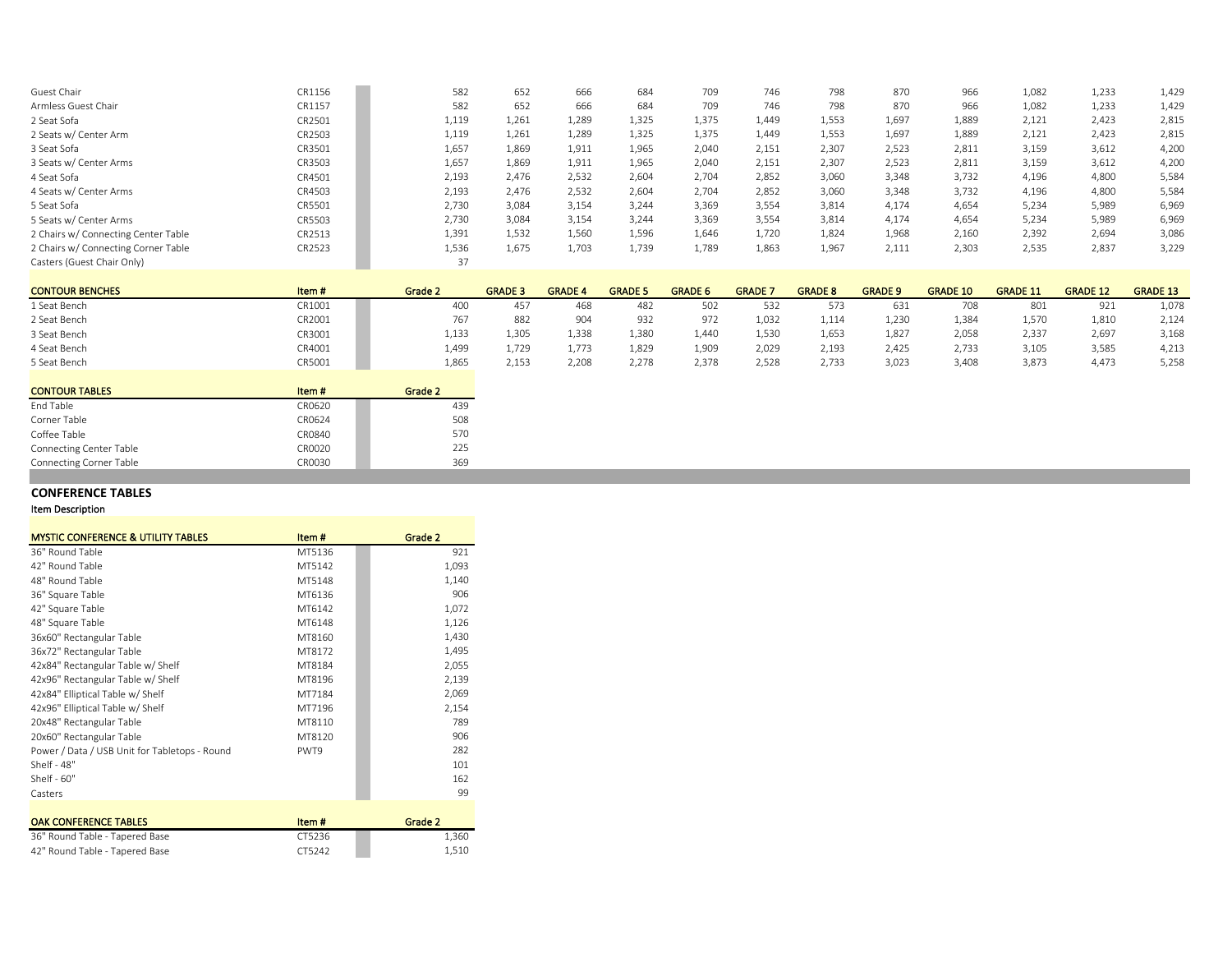| Guest Chair                         | CR1156 | 582   | 652   | 666   | 684   | 709   | 746   | 798   | 870   | 966   | 1,082 | 1,233 | 1,429 |
|-------------------------------------|--------|-------|-------|-------|-------|-------|-------|-------|-------|-------|-------|-------|-------|
| Armless Guest Chair                 | CR1157 | 582   | 652   | 666   | 684   | 709   | 746   | 798   | 870   | 966   | 1.082 | 1,233 | 1,429 |
| 2 Seat Sofa                         | CR2501 | 1,119 | 1,261 | 1,289 | 1,325 | 1,375 | 1,449 | 1,553 | 1,697 | 1,889 | 2,121 | 2,423 | 2,815 |
| 2 Seats w/ Center Arm               | CR2503 | 1,119 | 1,261 | 1,289 | 1,325 | 1,375 | 1.449 | 1,553 | 1,697 | 1,889 | 2,121 | 2,423 | 2,815 |
| 3 Seat Sofa                         | CR3501 | 1,657 | 1,869 | 1,911 | 1,965 | 2.040 | 2,151 | 2,307 | 2,523 | 2,811 | 3,159 | 3,612 | 4,200 |
| 3 Seats w/ Center Arms              | CR3503 | 1,657 | 1,869 | 1,911 | 1,965 | 2.040 | 2,151 | 2,307 | 2,523 | 2,811 | 3,159 | 3,612 | 4,200 |
| 4 Seat Sofa                         | CR4501 | 2,193 | 2.476 | 2,532 | 2,604 | 2.704 | 2,852 | 3,060 | 3,348 | 3,732 | 4,196 | 4.800 | 5,584 |
| 4 Seats w/ Center Arms              | CR4503 | 2,193 | 2.476 | 2,532 | 2,604 | 2.704 | 2.852 | 3,060 | 3,348 | 3,732 | 4,196 | 4,800 | 5,584 |
| 5 Seat Sofa                         | CR5501 | 2,730 | 3,084 | 3,154 | 3,244 | 3,369 | 3.554 | 3,814 | 4,174 | 4,654 | 5,234 | 5,989 | 6,969 |
| 5 Seats w/ Center Arms              | CR5503 | 2,730 | 3,084 | 3,154 | 3,244 | 3,369 | 3,554 | 3,814 | 4,174 | 4,654 | 5,234 | 5,989 | 6,969 |
| 2 Chairs w/ Connecting Center Table | CR2513 | 1,391 | 1,532 | 1,560 | 1,596 | 1,646 | 1,720 | 1,824 | 1,968 | 2,160 | 2,392 | 2,694 | 3,086 |
| 2 Chairs w/ Connecting Corner Table | CR2523 | 1,536 | 1,675 | 1,703 | 1,739 | 1,789 | 1,863 | 1,967 | 2,111 | 2,303 | 2,535 | 2,837 | 3,229 |
| Casters (Guest Chair Only)          |        | 37    |       |       |       |       |       |       |       |       |       |       |       |

| <b>CONTOUR BENCHES</b> | Item # | Grade 2 | <b>GRADE 3</b> | <b>GRADE 4</b> | <b>GRADE 5</b> | <b>GRADE 6</b>    | <b>GRADE</b> | <b>GRADE 8</b> | <b>GRADE 9</b> | <b>GRADE 10</b> | <b>GRADE 11</b> | <b>GRADE 12</b> | <b>GRADE 13</b> |
|------------------------|--------|---------|----------------|----------------|----------------|-------------------|--------------|----------------|----------------|-----------------|-----------------|-----------------|-----------------|
| 1 Seat Bench           | CR1001 | 400     | 457            | 468            | 482            | 502               | 532          | 573            | 631            | 708             | 801             | 921             | 1,078           |
| 2 Seat Bench           | CR2001 | /6/     | 882            | 904            | 932            | 972               | 1,032        | 1,114          | 1,230          | 1,384           | 1,570           | 1,810           | 2,124           |
| 3 Seat Bench           | CR3001 | 1,133   | 1.305          | 1,338          | 1,380          | 1.440             | 1.530        | 1,653          | 1,827          | 2,058           | 2.337           | 2,697           | 3,168           |
| 4 Seat Bench           | CR4001 | 1.499   | 1.729          | 1.773          | 1,829          | 1.90 <sup>c</sup> | 2.029        | 2,193          | 2.425          | 2.733           | 3.105           | 3.585           | 4,213           |
| 5 Seat Bench           | CR5001 | 1,865   | 2,153          | 2,208          | 2,278          | 2,378             | 2,528        | 2,733          | 3,023          | 3,408           | 3,873           | 4,473           | 5,258           |

| <b>CONTOUR TABLES</b>          | Item#  | Grade 2 |
|--------------------------------|--------|---------|
| End Table                      | CR0620 | 439     |
| Corner Table                   | CR0624 | 508     |
| Coffee Table                   | CR0840 | 570     |
| <b>Connecting Center Table</b> | CR0020 | 225     |
| <b>Connecting Corner Table</b> | CR0030 | 369     |

## **CONFERENCE TABLES**

#### Item Description

٠

| <b>MYSTIC CONFERENCE &amp; UTILITY TABLES</b> | Item#  | Grade 2 |
|-----------------------------------------------|--------|---------|
| 36" Round Table                               | MT5136 | 921     |
| 42" Round Table                               | MT5142 | 1,093   |
| 48" Round Table                               | MT5148 | 1,140   |
| 36" Square Table                              | MT6136 | 906     |
| 42" Square Table                              | MT6142 | 1,072   |
| 48" Square Table                              | MT6148 | 1,126   |
| 36x60" Rectangular Table                      | MT8160 | 1,430   |
| 36x72" Rectangular Table                      | MT8172 | 1,495   |
| 42x84" Rectangular Table w/ Shelf             | MT8184 | 2,055   |
| 42x96" Rectangular Table w/ Shelf             | MT8196 | 2,139   |
| 42x84" Elliptical Table w/ Shelf              | MT7184 | 2,069   |
| 42x96" Elliptical Table w/ Shelf              | MT7196 | 2,154   |
| 20x48" Rectangular Table                      | MT8110 | 789     |
| 20x60" Rectangular Table                      | MT8120 | 906     |
| Power / Data / USB Unit for Tabletops - Round | PWT9   | 282     |
| Shelf - 48"                                   |        | 101     |
| $Shelf - 60"$                                 |        | 162     |
| Casters                                       |        | 99      |
|                                               |        |         |
| <b>OAK CONFERENCE TABLES</b>                  | Item#  | Grade 2 |
| 36" Round Table - Tapered Base                | CT5236 | 1,360   |

42" Round Table - Tapered Base CT5242 1,510